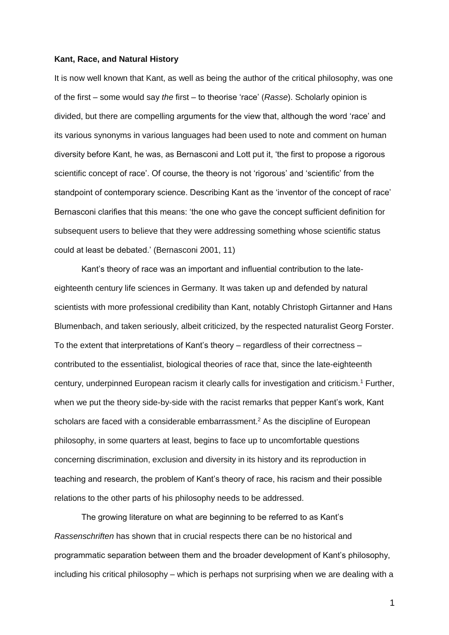#### **Kant, Race, and Natural History**

It is now well known that Kant, as well as being the author of the critical philosophy, was one of the first – some would say *the* first – to theorise 'race' (*Rasse*). Scholarly opinion is divided, but there are compelling arguments for the view that, although the word 'race' and its various synonyms in various languages had been used to note and comment on human diversity before Kant, he was, as Bernasconi and Lott put it, 'the first to propose a rigorous scientific concept of race'. Of course, the theory is not 'rigorous' and 'scientific' from the standpoint of contemporary science. Describing Kant as the 'inventor of the concept of race' Bernasconi clarifies that this means: 'the one who gave the concept sufficient definition for subsequent users to believe that they were addressing something whose scientific status could at least be debated.' (Bernasconi 2001, 11)

Kant's theory of race was an important and influential contribution to the lateeighteenth century life sciences in Germany. It was taken up and defended by natural scientists with more professional credibility than Kant, notably Christoph Girtanner and Hans Blumenbach, and taken seriously, albeit criticized, by the respected naturalist Georg Forster. To the extent that interpretations of Kant's theory – regardless of their correctness – contributed to the essentialist, biological theories of race that, since the late-eighteenth century, underpinned European racism it clearly calls for investigation and criticism.<sup>1</sup> Further, when we put the theory side-by-side with the racist remarks that pepper Kant's work, Kant scholars are faced with a considerable embarrassment.<sup>2</sup> As the discipline of European philosophy, in some quarters at least, begins to face up to uncomfortable questions concerning discrimination, exclusion and diversity in its history and its reproduction in teaching and research, the problem of Kant's theory of race, his racism and their possible relations to the other parts of his philosophy needs to be addressed.

The growing literature on what are beginning to be referred to as Kant's *Rassenschriften* has shown that in crucial respects there can be no historical and programmatic separation between them and the broader development of Kant's philosophy, including his critical philosophy – which is perhaps not surprising when we are dealing with a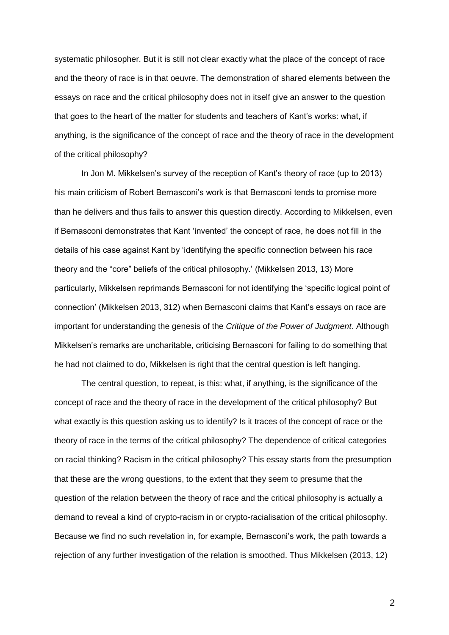systematic philosopher. But it is still not clear exactly what the place of the concept of race and the theory of race is in that oeuvre. The demonstration of shared elements between the essays on race and the critical philosophy does not in itself give an answer to the question that goes to the heart of the matter for students and teachers of Kant's works: what, if anything, is the significance of the concept of race and the theory of race in the development of the critical philosophy?

In Jon M. Mikkelsen's survey of the reception of Kant's theory of race (up to 2013) his main criticism of Robert Bernasconi's work is that Bernasconi tends to promise more than he delivers and thus fails to answer this question directly. According to Mikkelsen, even if Bernasconi demonstrates that Kant 'invented' the concept of race, he does not fill in the details of his case against Kant by 'identifying the specific connection between his race theory and the "core" beliefs of the critical philosophy.' (Mikkelsen 2013, 13) More particularly, Mikkelsen reprimands Bernasconi for not identifying the 'specific logical point of connection' (Mikkelsen 2013, 312) when Bernasconi claims that Kant's essays on race are important for understanding the genesis of the *Critique of the Power of Judgment*. Although Mikkelsen's remarks are uncharitable, criticising Bernasconi for failing to do something that he had not claimed to do, Mikkelsen is right that the central question is left hanging.

The central question, to repeat, is this: what, if anything, is the significance of the concept of race and the theory of race in the development of the critical philosophy? But what exactly is this question asking us to identify? Is it traces of the concept of race or the theory of race in the terms of the critical philosophy? The dependence of critical categories on racial thinking? Racism in the critical philosophy? This essay starts from the presumption that these are the wrong questions, to the extent that they seem to presume that the question of the relation between the theory of race and the critical philosophy is actually a demand to reveal a kind of crypto-racism in or crypto-racialisation of the critical philosophy. Because we find no such revelation in, for example, Bernasconi's work, the path towards a rejection of any further investigation of the relation is smoothed. Thus Mikkelsen (2013, 12)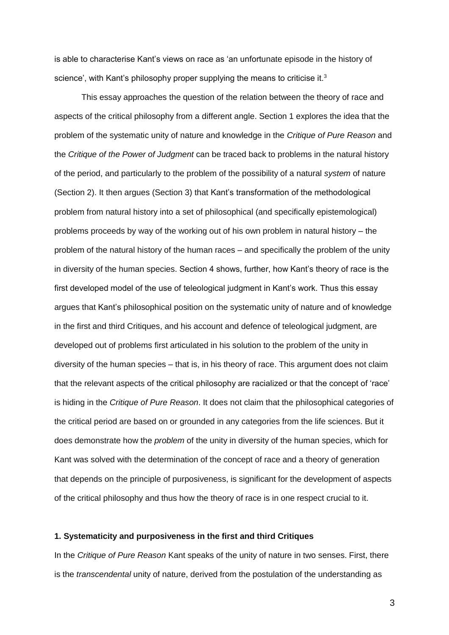is able to characterise Kant's views on race as 'an unfortunate episode in the history of science', with Kant's philosophy proper supplying the means to criticise it.<sup>3</sup>

This essay approaches the question of the relation between the theory of race and aspects of the critical philosophy from a different angle. Section 1 explores the idea that the problem of the systematic unity of nature and knowledge in the *Critique of Pure Reason* and the *Critique of the Power of Judgment* can be traced back to problems in the natural history of the period, and particularly to the problem of the possibility of a natural *system* of nature (Section 2). It then argues (Section 3) that Kant's transformation of the methodological problem from natural history into a set of philosophical (and specifically epistemological) problems proceeds by way of the working out of his own problem in natural history – the problem of the natural history of the human races – and specifically the problem of the unity in diversity of the human species. Section 4 shows, further, how Kant's theory of race is the first developed model of the use of teleological judgment in Kant's work. Thus this essay argues that Kant's philosophical position on the systematic unity of nature and of knowledge in the first and third Critiques, and his account and defence of teleological judgment, are developed out of problems first articulated in his solution to the problem of the unity in diversity of the human species – that is, in his theory of race. This argument does not claim that the relevant aspects of the critical philosophy are racialized or that the concept of 'race' is hiding in the *Critique of Pure Reason*. It does not claim that the philosophical categories of the critical period are based on or grounded in any categories from the life sciences. But it does demonstrate how the *problem* of the unity in diversity of the human species, which for Kant was solved with the determination of the concept of race and a theory of generation that depends on the principle of purposiveness, is significant for the development of aspects of the critical philosophy and thus how the theory of race is in one respect crucial to it.

# **1. Systematicity and purposiveness in the first and third Critiques**

In the *Critique of Pure Reason* Kant speaks of the unity of nature in two senses. First, there is the *transcendental* unity of nature, derived from the postulation of the understanding as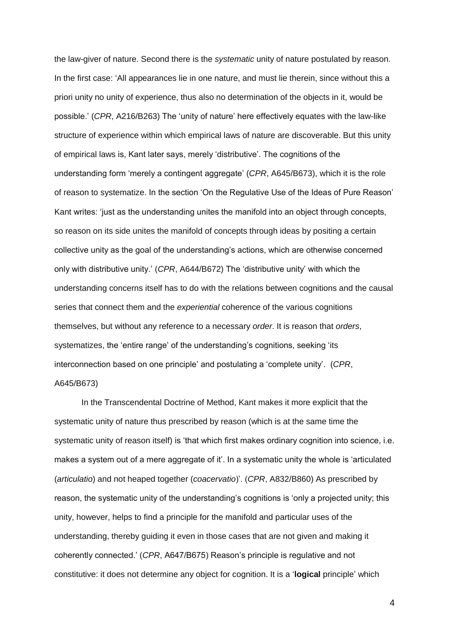the law-giver of nature. Second there is the *systematic* unity of nature postulated by reason. In the first case: 'All appearances lie in one nature, and must lie therein, since without this a priori unity no unity of experience, thus also no determination of the objects in it, would be possible.' (*CPR*, A216/B263) The 'unity of nature' here effectively equates with the law-like structure of experience within which empirical laws of nature are discoverable. But this unity of empirical laws is, Kant later says, merely 'distributive'. The cognitions of the understanding form 'merely a contingent aggregate' (*CPR*, A645/B673), which it is the role of reason to systematize. In the section 'On the Regulative Use of the Ideas of Pure Reason' Kant writes: 'just as the understanding unites the manifold into an object through concepts, so reason on its side unites the manifold of concepts through ideas by positing a certain collective unity as the goal of the understanding's actions, which are otherwise concerned only with distributive unity.' (*CPR*, A644/B672) The 'distributive unity' with which the understanding concerns itself has to do with the relations between cognitions and the causal series that connect them and the *experiential* coherence of the various cognitions themselves, but without any reference to a necessary *order*. It is reason that *orders*, systematizes, the 'entire range' of the understanding's cognitions, seeking 'its interconnection based on one principle' and postulating a 'complete unity'. (*CPR*, A645/B673)

In the Transcendental Doctrine of Method, Kant makes it more explicit that the systematic unity of nature thus prescribed by reason (which is at the same time the systematic unity of reason itself) is 'that which first makes ordinary cognition into science, i.e. makes a system out of a mere aggregate of it'. In a systematic unity the whole is 'articulated (*articulatio*) and not heaped together (*coacervatio*)'. (*CPR*, A832/B860) As prescribed by reason, the systematic unity of the understanding's cognitions is 'only a projected unity; this unity, however, helps to find a principle for the manifold and particular uses of the understanding, thereby guiding it even in those cases that are not given and making it coherently connected.' (*CPR*, A647/B675) Reason's principle is regulative and not constitutive: it does not determine any object for cognition. It is a '**logical** principle' which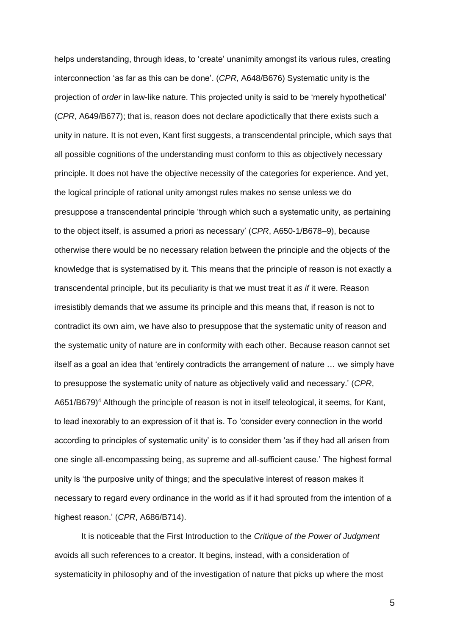helps understanding, through ideas, to 'create' unanimity amongst its various rules, creating interconnection 'as far as this can be done'. (*CPR*, A648/B676) Systematic unity is the projection of *order* in law-like nature. This projected unity is said to be 'merely hypothetical' (*CPR*, A649/B677); that is, reason does not declare apodictically that there exists such a unity in nature. It is not even, Kant first suggests, a transcendental principle, which says that all possible cognitions of the understanding must conform to this as objectively necessary principle. It does not have the objective necessity of the categories for experience. And yet, the logical principle of rational unity amongst rules makes no sense unless we do presuppose a transcendental principle 'through which such a systematic unity, as pertaining to the object itself, is assumed a priori as necessary' (*CPR*, A650-1/B678–9), because otherwise there would be no necessary relation between the principle and the objects of the knowledge that is systematised by it. This means that the principle of reason is not exactly a transcendental principle, but its peculiarity is that we must treat it *as if* it were. Reason irresistibly demands that we assume its principle and this means that, if reason is not to contradict its own aim, we have also to presuppose that the systematic unity of reason and the systematic unity of nature are in conformity with each other. Because reason cannot set itself as a goal an idea that 'entirely contradicts the arrangement of nature … we simply have to presuppose the systematic unity of nature as objectively valid and necessary.' (*CPR*, A651/B679)<sup>4</sup> Although the principle of reason is not in itself teleological, it seems, for Kant, to lead inexorably to an expression of it that is. To 'consider every connection in the world according to principles of systematic unity' is to consider them 'as if they had all arisen from one single all-encompassing being, as supreme and all-sufficient cause.' The highest formal unity is 'the purposive unity of things; and the speculative interest of reason makes it necessary to regard every ordinance in the world as if it had sprouted from the intention of a highest reason.' (*CPR*, A686/B714).

It is noticeable that the First Introduction to the *Critique of the Power of Judgment* avoids all such references to a creator. It begins, instead, with a consideration of systematicity in philosophy and of the investigation of nature that picks up where the most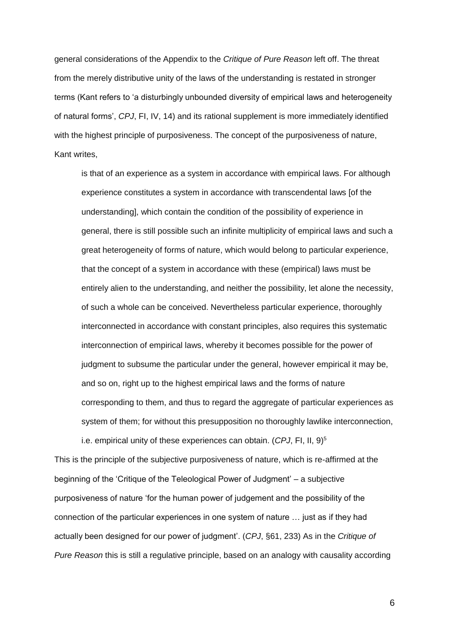general considerations of the Appendix to the *Critique of Pure Reason* left off. The threat from the merely distributive unity of the laws of the understanding is restated in stronger terms (Kant refers to 'a disturbingly unbounded diversity of empirical laws and heterogeneity of natural forms', *CPJ*, FI, IV, 14) and its rational supplement is more immediately identified with the highest principle of purposiveness. The concept of the purposiveness of nature, Kant writes,

is that of an experience as a system in accordance with empirical laws. For although experience constitutes a system in accordance with transcendental laws [of the understanding], which contain the condition of the possibility of experience in general, there is still possible such an infinite multiplicity of empirical laws and such a great heterogeneity of forms of nature, which would belong to particular experience, that the concept of a system in accordance with these (empirical) laws must be entirely alien to the understanding, and neither the possibility, let alone the necessity, of such a whole can be conceived. Nevertheless particular experience, thoroughly interconnected in accordance with constant principles, also requires this systematic interconnection of empirical laws, whereby it becomes possible for the power of judgment to subsume the particular under the general, however empirical it may be, and so on, right up to the highest empirical laws and the forms of nature corresponding to them, and thus to regard the aggregate of particular experiences as system of them; for without this presupposition no thoroughly lawlike interconnection, i.e. empirical unity of these experiences can obtain. (CPJ, FI, II, 9)<sup>5</sup>

This is the principle of the subjective purposiveness of nature, which is re-affirmed at the beginning of the 'Critique of the Teleological Power of Judgment' – a subjective purposiveness of nature 'for the human power of judgement and the possibility of the connection of the particular experiences in one system of nature … just as if they had actually been designed for our power of judgment'. (*CPJ*, §61, 233) As in the *Critique of Pure Reason* this is still a regulative principle, based on an analogy with causality according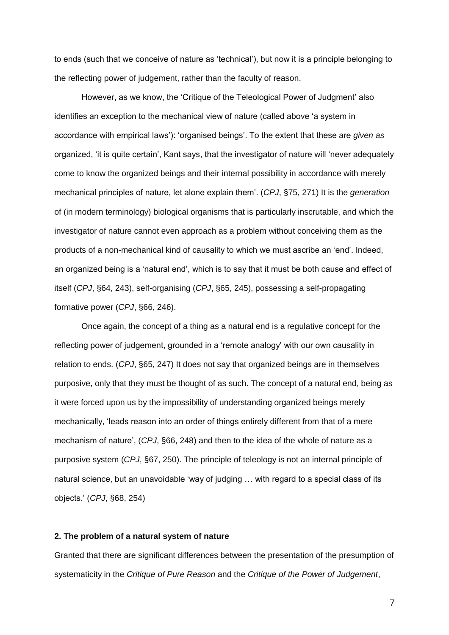to ends (such that we conceive of nature as 'technical'), but now it is a principle belonging to the reflecting power of judgement, rather than the faculty of reason.

However, as we know, the 'Critique of the Teleological Power of Judgment' also identifies an exception to the mechanical view of nature (called above 'a system in accordance with empirical laws'): 'organised beings'. To the extent that these are *given as* organized, 'it is quite certain', Kant says, that the investigator of nature will 'never adequately come to know the organized beings and their internal possibility in accordance with merely mechanical principles of nature, let alone explain them'. (*CPJ*, §75, 271) It is the *generation* of (in modern terminology) biological organisms that is particularly inscrutable, and which the investigator of nature cannot even approach as a problem without conceiving them as the products of a non-mechanical kind of causality to which we must ascribe an 'end'. Indeed, an organized being is a 'natural end', which is to say that it must be both cause and effect of itself (*CPJ*, §64, 243), self-organising (*CPJ*, §65, 245), possessing a self-propagating formative power (*CPJ*, §66, 246).

Once again, the concept of a thing as a natural end is a regulative concept for the reflecting power of judgement, grounded in a 'remote analogy' with our own causality in relation to ends. (*CPJ*, §65, 247) It does not say that organized beings are in themselves purposive, only that they must be thought of as such. The concept of a natural end, being as it were forced upon us by the impossibility of understanding organized beings merely mechanically, 'leads reason into an order of things entirely different from that of a mere mechanism of nature', (*CPJ*, §66, 248) and then to the idea of the whole of nature as a purposive system (*CPJ*, §67, 250). The principle of teleology is not an internal principle of natural science, but an unavoidable 'way of judging … with regard to a special class of its objects.' (*CPJ*, §68, 254)

## **2. The problem of a natural system of nature**

Granted that there are significant differences between the presentation of the presumption of systematicity in the *Critique of Pure Reason* and the *Critique of the Power of Judgement*,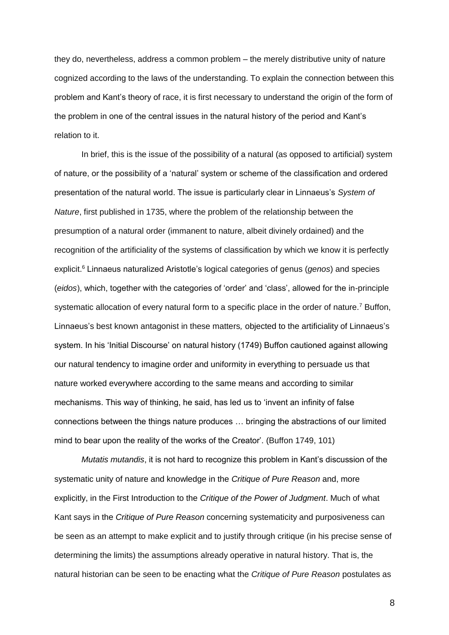they do, nevertheless, address a common problem – the merely distributive unity of nature cognized according to the laws of the understanding. To explain the connection between this problem and Kant's theory of race, it is first necessary to understand the origin of the form of the problem in one of the central issues in the natural history of the period and Kant's relation to it.

In brief, this is the issue of the possibility of a natural (as opposed to artificial) system of nature, or the possibility of a 'natural' system or scheme of the classification and ordered presentation of the natural world. The issue is particularly clear in Linnaeus's *System of Nature*, first published in 1735, where the problem of the relationship between the presumption of a natural order (immanent to nature, albeit divinely ordained) and the recognition of the artificiality of the systems of classification by which we know it is perfectly explicit.<sup>6</sup> Linnaeus naturalized Aristotle's logical categories of genus (*genos*) and species (*eidos*), which, together with the categories of 'order' and 'class', allowed for the in-principle systematic allocation of every natural form to a specific place in the order of nature.<sup>7</sup> Buffon, Linnaeus's best known antagonist in these matters*,* objected to the artificiality of Linnaeus's system. In his 'Initial Discourse' on natural history (1749) Buffon cautioned against allowing our natural tendency to imagine order and uniformity in everything to persuade us that nature worked everywhere according to the same means and according to similar mechanisms. This way of thinking, he said, has led us to 'invent an infinity of false connections between the things nature produces … bringing the abstractions of our limited mind to bear upon the reality of the works of the Creator'. (Buffon 1749, 101)

*Mutatis mutandis*, it is not hard to recognize this problem in Kant's discussion of the systematic unity of nature and knowledge in the *Critique of Pure Reason* and, more explicitly, in the First Introduction to the *Critique of the Power of Judgment*. Much of what Kant says in the *Critique of Pure Reason* concerning systematicity and purposiveness can be seen as an attempt to make explicit and to justify through critique (in his precise sense of determining the limits) the assumptions already operative in natural history. That is, the natural historian can be seen to be enacting what the *Critique of Pure Reason* postulates as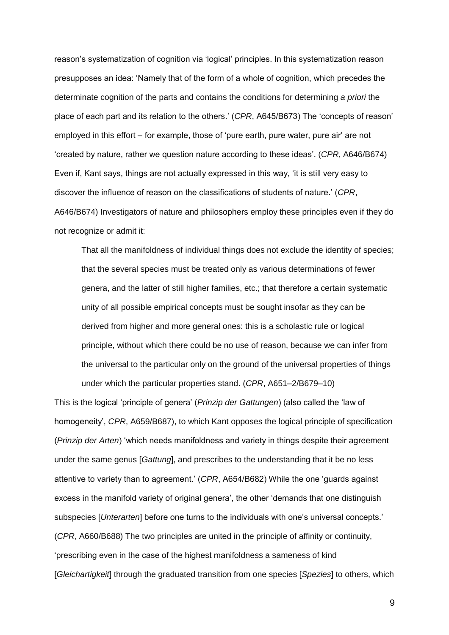reason's systematization of cognition via 'logical' principles. In this systematization reason presupposes an idea: 'Namely that of the form of a whole of cognition, which precedes the determinate cognition of the parts and contains the conditions for determining *a priori* the place of each part and its relation to the others.' (*CPR*, A645/B673) The 'concepts of reason' employed in this effort – for example, those of 'pure earth, pure water, pure air' are not 'created by nature, rather we question nature according to these ideas'. (*CPR*, A646/B674) Even if, Kant says, things are not actually expressed in this way, 'it is still very easy to discover the influence of reason on the classifications of students of nature.' (*CPR*, A646/B674) Investigators of nature and philosophers employ these principles even if they do not recognize or admit it:

That all the manifoldness of individual things does not exclude the identity of species; that the several species must be treated only as various determinations of fewer genera, and the latter of still higher families, etc.; that therefore a certain systematic unity of all possible empirical concepts must be sought insofar as they can be derived from higher and more general ones: this is a scholastic rule or logical principle, without which there could be no use of reason, because we can infer from the universal to the particular only on the ground of the universal properties of things under which the particular properties stand. (*CPR*, A651–2/B679–10)

This is the logical 'principle of genera' (*Prinzip der Gattungen*) (also called the 'law of homogeneity', *CPR*, A659/B687), to which Kant opposes the logical principle of specification (*Prinzip der Arten*) 'which needs manifoldness and variety in things despite their agreement under the same genus [*Gattung*], and prescribes to the understanding that it be no less attentive to variety than to agreement.' (*CPR*, A654/B682) While the one 'guards against excess in the manifold variety of original genera', the other 'demands that one distinguish subspecies [*Unterarten*] before one turns to the individuals with one's universal concepts.' (*CPR*, A660/B688) The two principles are united in the principle of affinity or continuity, 'prescribing even in the case of the highest manifoldness a sameness of kind [*Gleichartigkeit*] through the graduated transition from one species [*Spezies*] to others, which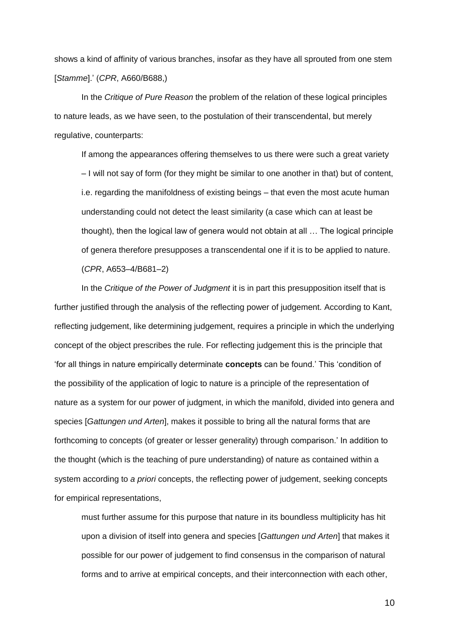shows a kind of affinity of various branches, insofar as they have all sprouted from one stem [*Stamme*].' (*CPR*, A660/B688,)

In the *Critique of Pure Reason* the problem of the relation of these logical principles to nature leads, as we have seen, to the postulation of their transcendental, but merely regulative, counterparts:

If among the appearances offering themselves to us there were such a great variety – I will not say of form (for they might be similar to one another in that) but of content, i.e. regarding the manifoldness of existing beings – that even the most acute human understanding could not detect the least similarity (a case which can at least be thought), then the logical law of genera would not obtain at all … The logical principle of genera therefore presupposes a transcendental one if it is to be applied to nature. (*CPR*, A653–4/B681–2)

In the *Critique of the Power of Judgment* it is in part this presupposition itself that is further justified through the analysis of the reflecting power of judgement. According to Kant, reflecting judgement, like determining judgement, requires a principle in which the underlying concept of the object prescribes the rule. For reflecting judgement this is the principle that 'for all things in nature empirically determinate **concepts** can be found.' This 'condition of the possibility of the application of logic to nature is a principle of the representation of nature as a system for our power of judgment, in which the manifold, divided into genera and species [*Gattungen und Arten*], makes it possible to bring all the natural forms that are forthcoming to concepts (of greater or lesser generality) through comparison.' In addition to the thought (which is the teaching of pure understanding) of nature as contained within a system according to *a priori* concepts, the reflecting power of judgement, seeking concepts for empirical representations,

must further assume for this purpose that nature in its boundless multiplicity has hit upon a division of itself into genera and species [*Gattungen und Arten*] that makes it possible for our power of judgement to find consensus in the comparison of natural forms and to arrive at empirical concepts, and their interconnection with each other,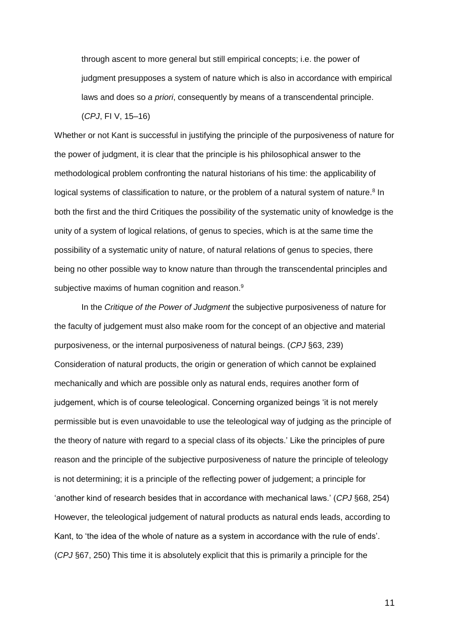through ascent to more general but still empirical concepts; i.e. the power of judgment presupposes a system of nature which is also in accordance with empirical laws and does so *a priori*, consequently by means of a transcendental principle.

(*CPJ*, FI V, 15–16)

Whether or not Kant is successful in justifying the principle of the purposiveness of nature for the power of judgment, it is clear that the principle is his philosophical answer to the methodological problem confronting the natural historians of his time: the applicability of logical systems of classification to nature, or the problem of a natural system of nature.<sup>8</sup> In both the first and the third Critiques the possibility of the systematic unity of knowledge is the unity of a system of logical relations, of genus to species, which is at the same time the possibility of a systematic unity of nature, of natural relations of genus to species, there being no other possible way to know nature than through the transcendental principles and subjective maxims of human cognition and reason.<sup>9</sup>

In the *Critique of the Power of Judgment* the subjective purposiveness of nature for the faculty of judgement must also make room for the concept of an objective and material purposiveness, or the internal purposiveness of natural beings. (*CPJ* §63, 239) Consideration of natural products, the origin or generation of which cannot be explained mechanically and which are possible only as natural ends, requires another form of judgement, which is of course teleological. Concerning organized beings 'it is not merely permissible but is even unavoidable to use the teleological way of judging as the principle of the theory of nature with regard to a special class of its objects.' Like the principles of pure reason and the principle of the subjective purposiveness of nature the principle of teleology is not determining; it is a principle of the reflecting power of judgement; a principle for 'another kind of research besides that in accordance with mechanical laws.' (*CPJ* §68, 254) However, the teleological judgement of natural products as natural ends leads, according to Kant, to 'the idea of the whole of nature as a system in accordance with the rule of ends'. (*CPJ* §67, 250) This time it is absolutely explicit that this is primarily a principle for the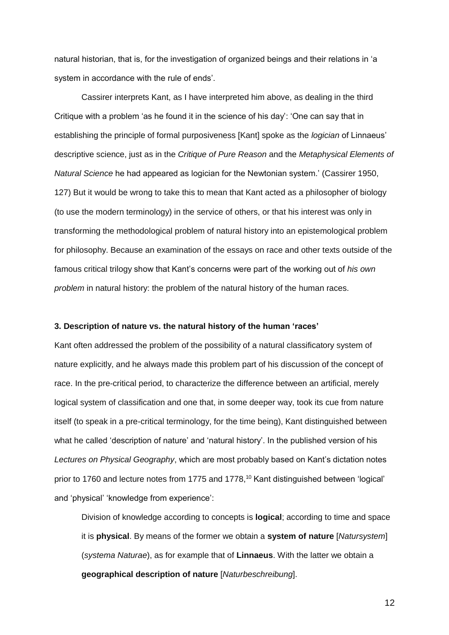natural historian, that is, for the investigation of organized beings and their relations in 'a system in accordance with the rule of ends'.

Cassirer interprets Kant, as I have interpreted him above, as dealing in the third Critique with a problem 'as he found it in the science of his day': 'One can say that in establishing the principle of formal purposiveness [Kant] spoke as the *logician* of Linnaeus' descriptive science, just as in the *Critique of Pure Reason* and the *Metaphysical Elements of Natural Science* he had appeared as logician for the Newtonian system.' (Cassirer 1950, 127) But it would be wrong to take this to mean that Kant acted as a philosopher of biology (to use the modern terminology) in the service of others, or that his interest was only in transforming the methodological problem of natural history into an epistemological problem for philosophy. Because an examination of the essays on race and other texts outside of the famous critical trilogy show that Kant's concerns were part of the working out of *his own problem* in natural history: the problem of the natural history of the human races.

### **3. Description of nature vs. the natural history of the human 'races'**

Kant often addressed the problem of the possibility of a natural classificatory system of nature explicitly, and he always made this problem part of his discussion of the concept of race. In the pre-critical period, to characterize the difference between an artificial, merely logical system of classification and one that, in some deeper way, took its cue from nature itself (to speak in a pre-critical terminology, for the time being), Kant distinguished between what he called 'description of nature' and 'natural history'. In the published version of his *Lectures on Physical Geography*, which are most probably based on Kant's dictation notes prior to 1760 and lecture notes from 1775 and 1778,<sup>10</sup> Kant distinguished between 'logical' and 'physical' 'knowledge from experience':

Division of knowledge according to concepts is **logical**; according to time and space it is **physical**. By means of the former we obtain a **system of nature** [*Natursystem*] (*systema Naturae*), as for example that of **Linnaeus**. With the latter we obtain a **geographical description of nature** [*Naturbeschreibung*].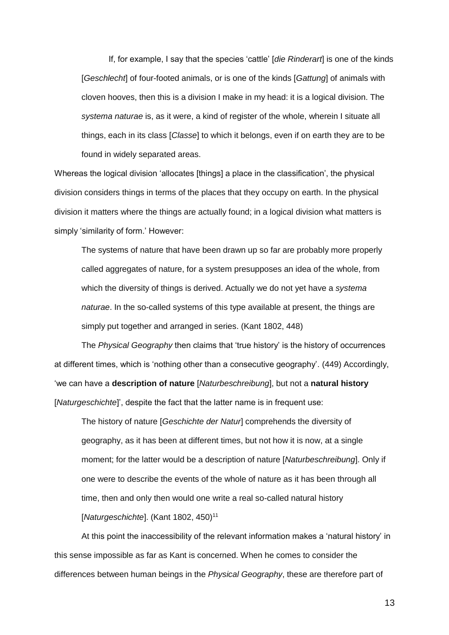If, for example, I say that the species 'cattle' [*die Rinderart*] is one of the kinds [*Geschlecht*] of four-footed animals, or is one of the kinds [*Gattung*] of animals with cloven hooves, then this is a division I make in my head: it is a logical division. The *systema naturae* is, as it were, a kind of register of the whole, wherein I situate all things, each in its class [*Classe*] to which it belongs, even if on earth they are to be found in widely separated areas.

Whereas the logical division 'allocates [things] a place in the classification', the physical division considers things in terms of the places that they occupy on earth. In the physical division it matters where the things are actually found; in a logical division what matters is simply 'similarity of form.' However:

The systems of nature that have been drawn up so far are probably more properly called aggregates of nature, for a system presupposes an idea of the whole, from which the diversity of things is derived. Actually we do not yet have a *systema naturae*. In the so-called systems of this type available at present, the things are simply put together and arranged in series. (Kant 1802, 448)

The *Physical Geography* then claims that 'true history' is the history of occurrences at different times, which is 'nothing other than a consecutive geography'. (449) Accordingly, 'we can have a **description of nature** [*Naturbeschreibung*], but not a **natural history**  [*Naturgeschichte*]', despite the fact that the latter name is in frequent use:

The history of nature [*Geschichte der Natur*] comprehends the diversity of geography, as it has been at different times, but not how it is now, at a single moment; for the latter would be a description of nature [*Naturbeschreibung*]. Only if one were to describe the events of the whole of nature as it has been through all time, then and only then would one write a real so-called natural history [*Naturgeschichte*]. (Kant 1802, 450)<sup>11</sup>

At this point the inaccessibility of the relevant information makes a 'natural history' in this sense impossible as far as Kant is concerned. When he comes to consider the differences between human beings in the *Physical Geography*, these are therefore part of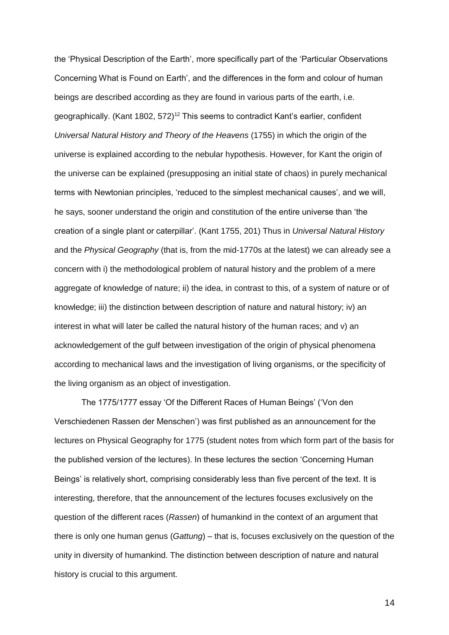the 'Physical Description of the Earth', more specifically part of the 'Particular Observations Concerning What is Found on Earth', and the differences in the form and colour of human beings are described according as they are found in various parts of the earth, i.e. geographically. (Kant 1802, 572)<sup>12</sup> This seems to contradict Kant's earlier, confident *Universal Natural History and Theory of the Heavens* (1755) in which the origin of the universe is explained according to the nebular hypothesis. However, for Kant the origin of the universe can be explained (presupposing an initial state of chaos) in purely mechanical terms with Newtonian principles, 'reduced to the simplest mechanical causes', and we will, he says, sooner understand the origin and constitution of the entire universe than 'the creation of a single plant or caterpillar'. (Kant 1755, 201) Thus in *Universal Natural History* and the *Physical Geography* (that is, from the mid-1770s at the latest) we can already see a concern with i) the methodological problem of natural history and the problem of a mere aggregate of knowledge of nature; ii) the idea, in contrast to this, of a system of nature or of knowledge; iii) the distinction between description of nature and natural history; iv) an interest in what will later be called the natural history of the human races; and v) an acknowledgement of the gulf between investigation of the origin of physical phenomena according to mechanical laws and the investigation of living organisms, or the specificity of the living organism as an object of investigation.

The 1775/1777 essay 'Of the Different Races of Human Beings' ('Von den Verschiedenen Rassen der Menschen') was first published as an announcement for the lectures on Physical Geography for 1775 (student notes from which form part of the basis for the published version of the lectures). In these lectures the section 'Concerning Human Beings' is relatively short, comprising considerably less than five percent of the text. It is interesting, therefore, that the announcement of the lectures focuses exclusively on the question of the different races (*Rassen*) of humankind in the context of an argument that there is only one human genus (*Gattung*) – that is, focuses exclusively on the question of the unity in diversity of humankind. The distinction between description of nature and natural history is crucial to this argument.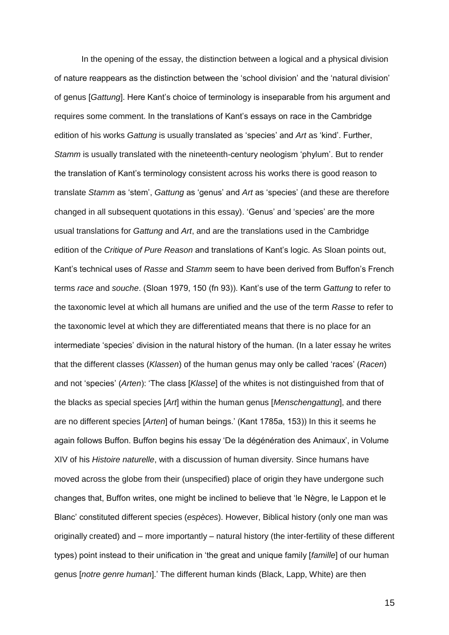In the opening of the essay, the distinction between a logical and a physical division of nature reappears as the distinction between the 'school division' and the 'natural division' of genus [*Gattung*]. Here Kant's choice of terminology is inseparable from his argument and requires some comment. In the translations of Kant's essays on race in the Cambridge edition of his works *Gattung* is usually translated as 'species' and *Art* as 'kind'. Further, *Stamm* is usually translated with the nineteenth-century neologism 'phylum'. But to render the translation of Kant's terminology consistent across his works there is good reason to translate *Stamm* as 'stem', *Gattung* as 'genus' and *Art* as 'species' (and these are therefore changed in all subsequent quotations in this essay). 'Genus' and 'species' are the more usual translations for *Gattung* and *Art*, and are the translations used in the Cambridge edition of the *Critique of Pure Reason* and translations of Kant's logic. As Sloan points out, Kant's technical uses of *Rasse* and *Stamm* seem to have been derived from Buffon's French terms *race* and *souche*. (Sloan 1979, 150 (fn 93)). Kant's use of the term *Gattung* to refer to the taxonomic level at which all humans are unified and the use of the term *Rasse* to refer to the taxonomic level at which they are differentiated means that there is no place for an intermediate 'species' division in the natural history of the human. (In a later essay he writes that the different classes (*Klassen*) of the human genus may only be called 'races' (*Racen*) and not 'species' (*Arten*): 'The class [*Klasse*] of the whites is not distinguished from that of the blacks as special species [*Art*] within the human genus [*Menschengattung*], and there are no different species [*Arten*] of human beings.' (Kant 1785a, 153)) In this it seems he again follows Buffon. Buffon begins his essay 'De la dégénération des Animaux', in Volume XIV of his *Histoire naturelle*, with a discussion of human diversity. Since humans have moved across the globe from their (unspecified) place of origin they have undergone such changes that, Buffon writes, one might be inclined to believe that 'le Nègre, le Lappon et le Blanc' constituted different species (*espèces*). However, Biblical history (only one man was originally created) and – more importantly – natural history (the inter-fertility of these different types) point instead to their unification in 'the great and unique family [*famille*] of our human genus [*notre genre human*].' The different human kinds (Black, Lapp, White) are then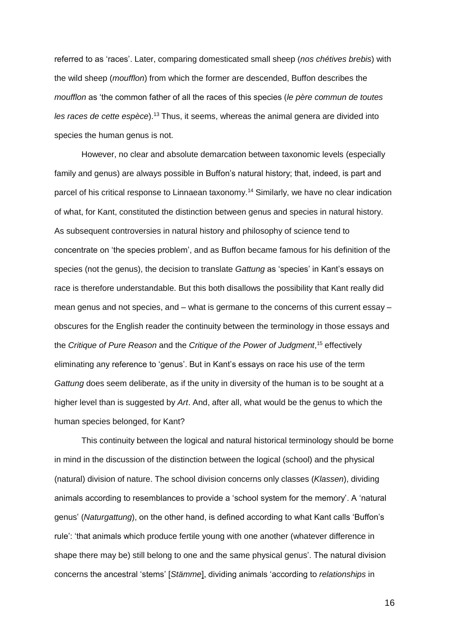referred to as 'races'. Later, comparing domesticated small sheep (*nos chétives brebis*) with the wild sheep (*moufflon*) from which the former are descended, Buffon describes the *moufflon* as 'the common father of all the races of this species (*le père commun de toutes les races de cette espèce*).<sup>13</sup> Thus, it seems, whereas the animal genera are divided into species the human genus is not.

However, no clear and absolute demarcation between taxonomic levels (especially family and genus) are always possible in Buffon's natural history; that, indeed, is part and parcel of his critical response to Linnaean taxonomy.<sup>14</sup> Similarly, we have no clear indication of what, for Kant, constituted the distinction between genus and species in natural history. As subsequent controversies in natural history and philosophy of science tend to concentrate on 'the species problem', and as Buffon became famous for his definition of the species (not the genus), the decision to translate *Gattung* as 'species' in Kant's essays on race is therefore understandable. But this both disallows the possibility that Kant really did mean genus and not species, and – what is germane to the concerns of this current essay – obscures for the English reader the continuity between the terminology in those essays and the *Critique of Pure Reason* and the *Critique of the Power of Judgment*, <sup>15</sup> effectively eliminating any reference to 'genus'. But in Kant's essays on race his use of the term *Gattung* does seem deliberate, as if the unity in diversity of the human is to be sought at a higher level than is suggested by *Art*. And, after all, what would be the genus to which the human species belonged, for Kant?

This continuity between the logical and natural historical terminology should be borne in mind in the discussion of the distinction between the logical (school) and the physical (natural) division of nature. The school division concerns only classes (*Klassen*), dividing animals according to resemblances to provide a 'school system for the memory'. A 'natural genus' (*Naturgattung*), on the other hand, is defined according to what Kant calls 'Buffon's rule': 'that animals which produce fertile young with one another (whatever difference in shape there may be) still belong to one and the same physical genus'. The natural division concerns the ancestral 'stems' [*Stämme*], dividing animals 'according to *relationships* in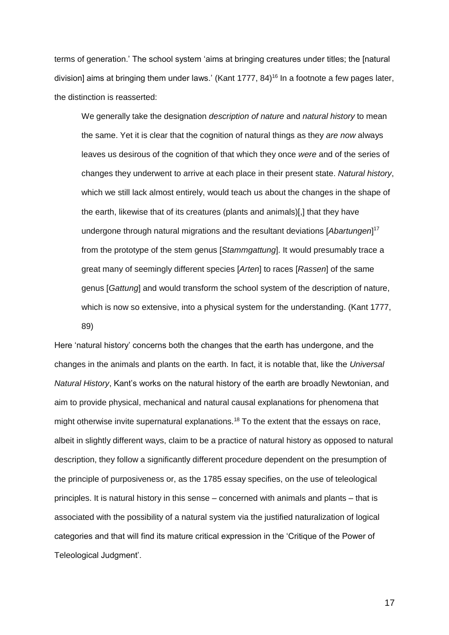terms of generation.' The school system 'aims at bringing creatures under titles; the [natural division] aims at bringing them under laws.' (Kant 1777, 84) <sup>16</sup> In a footnote a few pages later, the distinction is reasserted:

We generally take the designation *description of nature* and *natural history* to mean the same. Yet it is clear that the cognition of natural things as they *are now* always leaves us desirous of the cognition of that which they once *were* and of the series of changes they underwent to arrive at each place in their present state. *Natural history*, which we still lack almost entirely, would teach us about the changes in the shape of the earth, likewise that of its creatures (plants and animals)[,] that they have undergone through natural migrations and the resultant deviations [*Abartungen*] 17 from the prototype of the stem genus [*Stammgattung*]. It would presumably trace a great many of seemingly different species [*Arten*] to races [*Rassen*] of the same genus [*Gattung*] and would transform the school system of the description of nature, which is now so extensive, into a physical system for the understanding. (Kant 1777, 89)

Here 'natural history' concerns both the changes that the earth has undergone, and the changes in the animals and plants on the earth. In fact, it is notable that, like the *Universal Natural History*, Kant's works on the natural history of the earth are broadly Newtonian, and aim to provide physical, mechanical and natural causal explanations for phenomena that might otherwise invite supernatural explanations.<sup>18</sup> To the extent that the essays on race, albeit in slightly different ways, claim to be a practice of natural history as opposed to natural description, they follow a significantly different procedure dependent on the presumption of the principle of purposiveness or, as the 1785 essay specifies, on the use of teleological principles. It is natural history in this sense – concerned with animals and plants – that is associated with the possibility of a natural system via the justified naturalization of logical categories and that will find its mature critical expression in the 'Critique of the Power of Teleological Judgment'.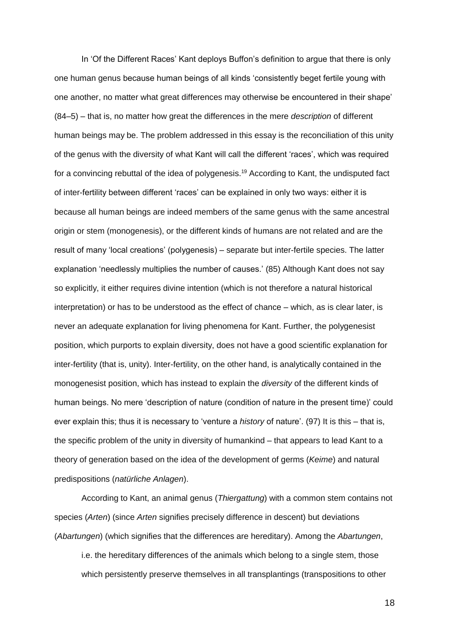In 'Of the Different Races' Kant deploys Buffon's definition to argue that there is only one human genus because human beings of all kinds 'consistently beget fertile young with one another, no matter what great differences may otherwise be encountered in their shape' (84–5) – that is, no matter how great the differences in the mere *description* of different human beings may be. The problem addressed in this essay is the reconciliation of this unity of the genus with the diversity of what Kant will call the different 'races', which was required for a convincing rebuttal of the idea of polygenesis.<sup>19</sup> According to Kant, the undisputed fact of inter-fertility between different 'races' can be explained in only two ways: either it is because all human beings are indeed members of the same genus with the same ancestral origin or stem (monogenesis), or the different kinds of humans are not related and are the result of many 'local creations' (polygenesis) – separate but inter-fertile species. The latter explanation 'needlessly multiplies the number of causes.' (85) Although Kant does not say so explicitly, it either requires divine intention (which is not therefore a natural historical interpretation) or has to be understood as the effect of chance – which, as is clear later, is never an adequate explanation for living phenomena for Kant. Further, the polygenesist position, which purports to explain diversity, does not have a good scientific explanation for inter-fertility (that is, unity). Inter-fertility, on the other hand, is analytically contained in the monogenesist position, which has instead to explain the *diversity* of the different kinds of human beings. No mere 'description of nature (condition of nature in the present time)' could ever explain this; thus it is necessary to 'venture a *history* of nature'. (97) It is this – that is, the specific problem of the unity in diversity of humankind – that appears to lead Kant to a theory of generation based on the idea of the development of germs (*Keime*) and natural predispositions (*natürliche Anlagen*).

According to Kant, an animal genus (*Thiergattung*) with a common stem contains not species (*Arten*) (since *Arten* signifies precisely difference in descent) but deviations (*Abartungen*) (which signifies that the differences are hereditary). Among the *Abartungen*,

i.e. the hereditary differences of the animals which belong to a single stem, those which persistently preserve themselves in all transplantings (transpositions to other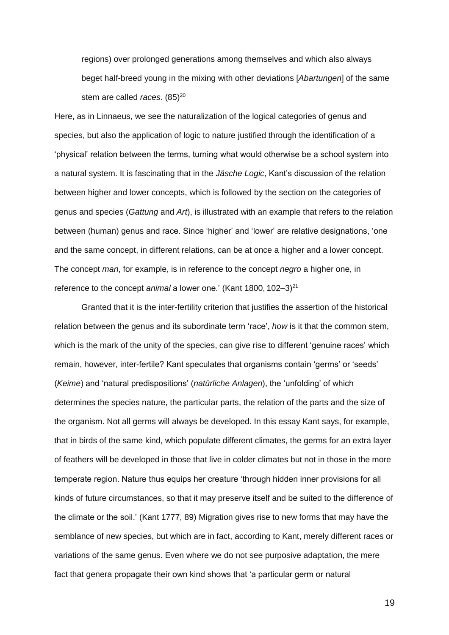regions) over prolonged generations among themselves and which also always beget half-breed young in the mixing with other deviations [*Abartungen*] of the same stem are called *races*. (85)<sup>20</sup>

Here, as in Linnaeus, we see the naturalization of the logical categories of genus and species, but also the application of logic to nature justified through the identification of a 'physical' relation between the terms, turning what would otherwise be a school system into a natural system. It is fascinating that in the *Jäsche Logic*, Kant's discussion of the relation between higher and lower concepts, which is followed by the section on the categories of genus and species (*Gattung* and *Art*), is illustrated with an example that refers to the relation between (human) genus and race. Since 'higher' and 'lower' are relative designations, 'one and the same concept, in different relations, can be at once a higher and a lower concept. The concept *man*, for example, is in reference to the concept *negro* a higher one, in reference to the concept *animal* a lower one.' (Kant 1800, 102–3)<sup>21</sup>

Granted that it is the inter-fertility criterion that justifies the assertion of the historical relation between the genus and its subordinate term 'race', *how* is it that the common stem, which is the mark of the unity of the species, can give rise to different 'genuine races' which remain, however, inter-fertile? Kant speculates that organisms contain 'germs' or 'seeds' (*Keime*) and 'natural predispositions' (*natürliche Anlagen*), the 'unfolding' of which determines the species nature, the particular parts, the relation of the parts and the size of the organism. Not all germs will always be developed. In this essay Kant says, for example, that in birds of the same kind, which populate different climates, the germs for an extra layer of feathers will be developed in those that live in colder climates but not in those in the more temperate region. Nature thus equips her creature 'through hidden inner provisions for all kinds of future circumstances, so that it may preserve itself and be suited to the difference of the climate or the soil.' (Kant 1777, 89) Migration gives rise to new forms that may have the semblance of new species, but which are in fact, according to Kant, merely different races or variations of the same genus. Even where we do not see purposive adaptation, the mere fact that genera propagate their own kind shows that 'a particular germ or natural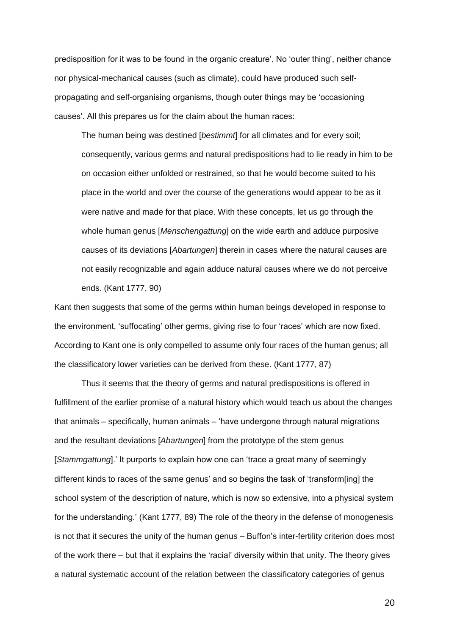predisposition for it was to be found in the organic creature'. No 'outer thing', neither chance nor physical-mechanical causes (such as climate), could have produced such selfpropagating and self-organising organisms, though outer things may be 'occasioning causes'. All this prepares us for the claim about the human races:

The human being was destined [*bestimmt*] for all climates and for every soil; consequently, various germs and natural predispositions had to lie ready in him to be on occasion either unfolded or restrained, so that he would become suited to his place in the world and over the course of the generations would appear to be as it were native and made for that place. With these concepts, let us go through the whole human genus [*Menschengattung*] on the wide earth and adduce purposive causes of its deviations [*Abartungen*] therein in cases where the natural causes are not easily recognizable and again adduce natural causes where we do not perceive ends. (Kant 1777, 90)

Kant then suggests that some of the germs within human beings developed in response to the environment, 'suffocating' other germs, giving rise to four 'races' which are now fixed. According to Kant one is only compelled to assume only four races of the human genus; all the classificatory lower varieties can be derived from these. (Kant 1777, 87)

Thus it seems that the theory of germs and natural predispositions is offered in fulfillment of the earlier promise of a natural history which would teach us about the changes that animals – specifically, human animals – 'have undergone through natural migrations and the resultant deviations [*Abartungen*] from the prototype of the stem genus [*Stammgattung*].' It purports to explain how one can 'trace a great many of seemingly different kinds to races of the same genus' and so begins the task of 'transform[ing] the school system of the description of nature, which is now so extensive, into a physical system for the understanding.' (Kant 1777, 89) The role of the theory in the defense of monogenesis is not that it secures the unity of the human genus – Buffon's inter-fertility criterion does most of the work there – but that it explains the 'racial' diversity within that unity. The theory gives a natural systematic account of the relation between the classificatory categories of genus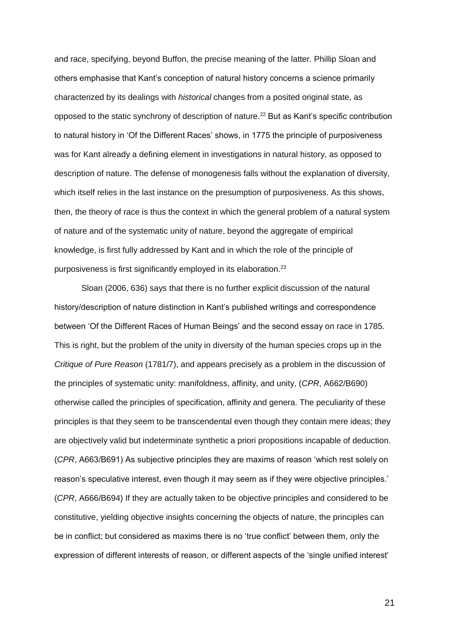and race, specifying, beyond Buffon, the precise meaning of the latter. Phillip Sloan and others emphasise that Kant's conception of natural history concerns a science primarily characterized by its dealings with *historical* changes from a posited original state, as opposed to the static synchrony of description of nature.<sup>22</sup> But as Kant's specific contribution to natural history in 'Of the Different Races' shows, in 1775 the principle of purposiveness was for Kant already a defining element in investigations in natural history, as opposed to description of nature. The defense of monogenesis falls without the explanation of diversity, which itself relies in the last instance on the presumption of purposiveness. As this shows, then, the theory of race is thus the context in which the general problem of a natural system of nature and of the systematic unity of nature, beyond the aggregate of empirical knowledge, is first fully addressed by Kant and in which the role of the principle of purposiveness is first significantly employed in its elaboration.<sup>23</sup>

Sloan (2006, 636) says that there is no further explicit discussion of the natural history/description of nature distinction in Kant's published writings and correspondence between 'Of the Different Races of Human Beings' and the second essay on race in 1785. This is right, but the problem of the unity in diversity of the human species crops up in the *Critique of Pure Reason* (1781/7), and appears precisely as a problem in the discussion of the principles of systematic unity: manifoldness, affinity, and unity, (*CPR*, A662/B690) otherwise called the principles of specification, affinity and genera. The peculiarity of these principles is that they seem to be transcendental even though they contain mere ideas; they are objectively valid but indeterminate synthetic a priori propositions incapable of deduction. (*CPR*, A663/B691) As subjective principles they are maxims of reason 'which rest solely on reason's speculative interest, even though it may seem as if they were objective principles.' (*CPR*, A666/B694) If they are actually taken to be objective principles and considered to be constitutive, yielding objective insights concerning the objects of nature, the principles can be in conflict; but considered as maxims there is no 'true conflict' between them, only the expression of different interests of reason, or different aspects of the 'single unified interest'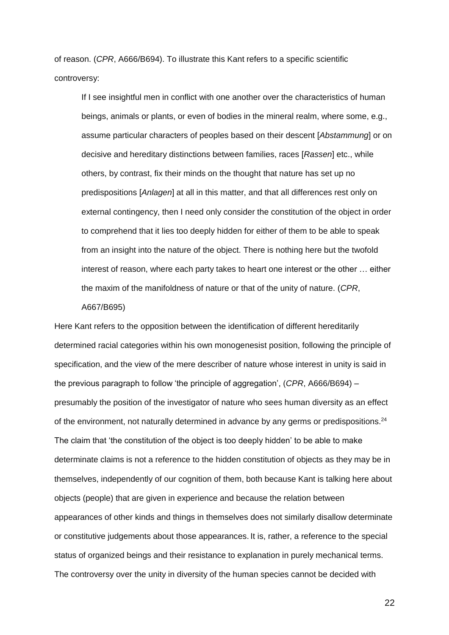of reason. (*CPR*, A666/B694). To illustrate this Kant refers to a specific scientific controversy:

If I see insightful men in conflict with one another over the characteristics of human beings, animals or plants, or even of bodies in the mineral realm, where some, e.g., assume particular characters of peoples based on their descent [*Abstammung*] or on decisive and hereditary distinctions between families, races [*Rassen*] etc., while others, by contrast, fix their minds on the thought that nature has set up no predispositions [*Anlagen*] at all in this matter, and that all differences rest only on external contingency, then I need only consider the constitution of the object in order to comprehend that it lies too deeply hidden for either of them to be able to speak from an insight into the nature of the object. There is nothing here but the twofold interest of reason, where each party takes to heart one interest or the other … either the maxim of the manifoldness of nature or that of the unity of nature. (*CPR*,

## A667/B695)

Here Kant refers to the opposition between the identification of different hereditarily determined racial categories within his own monogenesist position, following the principle of specification, and the view of the mere describer of nature whose interest in unity is said in the previous paragraph to follow 'the principle of aggregation', (*CPR*, A666/B694) – presumably the position of the investigator of nature who sees human diversity as an effect of the environment, not naturally determined in advance by any germs or predispositions.<sup>24</sup> The claim that 'the constitution of the object is too deeply hidden' to be able to make determinate claims is not a reference to the hidden constitution of objects as they may be in themselves, independently of our cognition of them, both because Kant is talking here about objects (people) that are given in experience and because the relation between appearances of other kinds and things in themselves does not similarly disallow determinate or constitutive judgements about those appearances. It is, rather, a reference to the special status of organized beings and their resistance to explanation in purely mechanical terms. The controversy over the unity in diversity of the human species cannot be decided with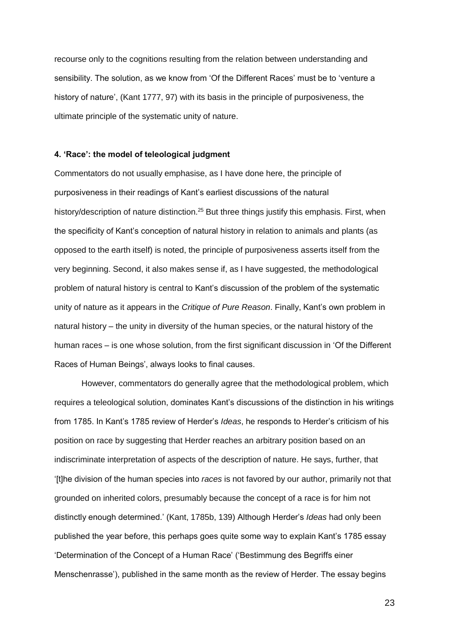recourse only to the cognitions resulting from the relation between understanding and sensibility. The solution, as we know from 'Of the Different Races' must be to 'venture a history of nature', (Kant 1777, 97) with its basis in the principle of purposiveness, the ultimate principle of the systematic unity of nature.

## **4. 'Race': the model of teleological judgment**

Commentators do not usually emphasise, as I have done here, the principle of purposiveness in their readings of Kant's earliest discussions of the natural history/description of nature distinction.<sup>25</sup> But three things justify this emphasis. First, when the specificity of Kant's conception of natural history in relation to animals and plants (as opposed to the earth itself) is noted, the principle of purposiveness asserts itself from the very beginning. Second, it also makes sense if, as I have suggested, the methodological problem of natural history is central to Kant's discussion of the problem of the systematic unity of nature as it appears in the *Critique of Pure Reason*. Finally, Kant's own problem in natural history – the unity in diversity of the human species, or the natural history of the human races – is one whose solution, from the first significant discussion in 'Of the Different Races of Human Beings', always looks to final causes.

However, commentators do generally agree that the methodological problem, which requires a teleological solution, dominates Kant's discussions of the distinction in his writings from 1785. In Kant's 1785 review of Herder's *Ideas*, he responds to Herder's criticism of his position on race by suggesting that Herder reaches an arbitrary position based on an indiscriminate interpretation of aspects of the description of nature. He says, further, that '[t]he division of the human species into *races* is not favored by our author, primarily not that grounded on inherited colors, presumably because the concept of a race is for him not distinctly enough determined.' (Kant, 1785b, 139) Although Herder's *Ideas* had only been published the year before, this perhaps goes quite some way to explain Kant's 1785 essay 'Determination of the Concept of a Human Race' ('Bestimmung des Begriffs einer Menschenrasse'), published in the same month as the review of Herder. The essay begins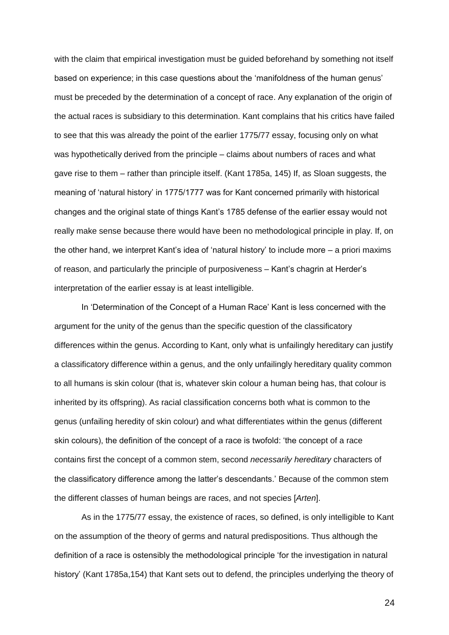with the claim that empirical investigation must be guided beforehand by something not itself based on experience; in this case questions about the 'manifoldness of the human genus' must be preceded by the determination of a concept of race. Any explanation of the origin of the actual races is subsidiary to this determination. Kant complains that his critics have failed to see that this was already the point of the earlier 1775/77 essay, focusing only on what was hypothetically derived from the principle – claims about numbers of races and what gave rise to them – rather than principle itself. (Kant 1785a, 145) If, as Sloan suggests, the meaning of 'natural history' in 1775/1777 was for Kant concerned primarily with historical changes and the original state of things Kant's 1785 defense of the earlier essay would not really make sense because there would have been no methodological principle in play. If, on the other hand, we interpret Kant's idea of 'natural history' to include more – a priori maxims of reason, and particularly the principle of purposiveness – Kant's chagrin at Herder's interpretation of the earlier essay is at least intelligible.

In 'Determination of the Concept of a Human Race' Kant is less concerned with the argument for the unity of the genus than the specific question of the classificatory differences within the genus. According to Kant, only what is unfailingly hereditary can justify a classificatory difference within a genus, and the only unfailingly hereditary quality common to all humans is skin colour (that is, whatever skin colour a human being has, that colour is inherited by its offspring). As racial classification concerns both what is common to the genus (unfailing heredity of skin colour) and what differentiates within the genus (different skin colours), the definition of the concept of a race is twofold: 'the concept of a race contains first the concept of a common stem, second *necessarily hereditary* characters of the classificatory difference among the latter's descendants.' Because of the common stem the different classes of human beings are races, and not species [*Arten*].

As in the 1775/77 essay, the existence of races, so defined, is only intelligible to Kant on the assumption of the theory of germs and natural predispositions. Thus although the definition of a race is ostensibly the methodological principle 'for the investigation in natural history' (Kant 1785a,154) that Kant sets out to defend, the principles underlying the theory of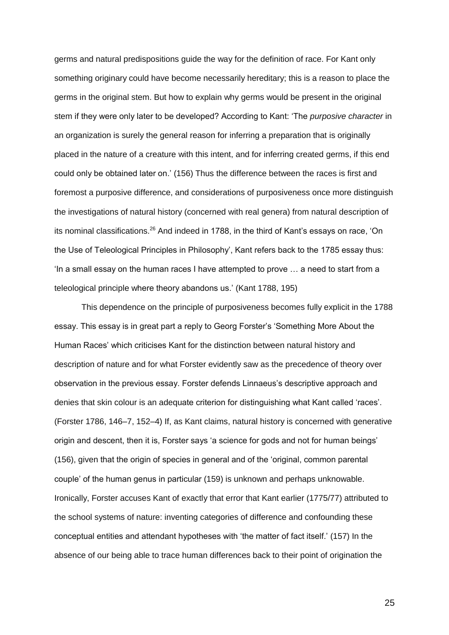germs and natural predispositions guide the way for the definition of race. For Kant only something originary could have become necessarily hereditary; this is a reason to place the germs in the original stem. But how to explain why germs would be present in the original stem if they were only later to be developed? According to Kant: 'The *purposive character* in an organization is surely the general reason for inferring a preparation that is originally placed in the nature of a creature with this intent, and for inferring created germs, if this end could only be obtained later on.' (156) Thus the difference between the races is first and foremost a purposive difference, and considerations of purposiveness once more distinguish the investigations of natural history (concerned with real genera) from natural description of its nominal classifications.<sup>26</sup> And indeed in 1788, in the third of Kant's essays on race, 'On the Use of Teleological Principles in Philosophy', Kant refers back to the 1785 essay thus: 'In a small essay on the human races I have attempted to prove … a need to start from a teleological principle where theory abandons us.' (Kant 1788, 195)

This dependence on the principle of purposiveness becomes fully explicit in the 1788 essay. This essay is in great part a reply to Georg Forster's 'Something More About the Human Races' which criticises Kant for the distinction between natural history and description of nature and for what Forster evidently saw as the precedence of theory over observation in the previous essay. Forster defends Linnaeus's descriptive approach and denies that skin colour is an adequate criterion for distinguishing what Kant called 'races'. (Forster 1786, 146–7, 152–4) If, as Kant claims, natural history is concerned with generative origin and descent, then it is, Forster says 'a science for gods and not for human beings' (156), given that the origin of species in general and of the 'original, common parental couple' of the human genus in particular (159) is unknown and perhaps unknowable. Ironically, Forster accuses Kant of exactly that error that Kant earlier (1775/77) attributed to the school systems of nature: inventing categories of difference and confounding these conceptual entities and attendant hypotheses with 'the matter of fact itself.' (157) In the absence of our being able to trace human differences back to their point of origination the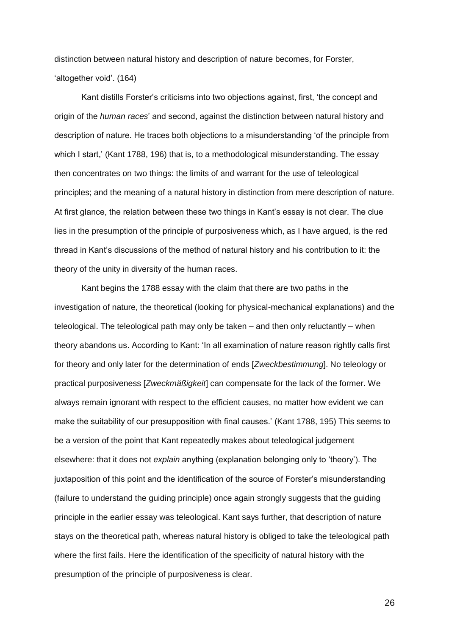distinction between natural history and description of nature becomes, for Forster, 'altogether void'. (164)

Kant distills Forster's criticisms into two objections against, first, 'the concept and origin of the *human races*' and second, against the distinction between natural history and description of nature. He traces both objections to a misunderstanding 'of the principle from which I start,' (Kant 1788, 196) that is, to a methodological misunderstanding. The essay then concentrates on two things: the limits of and warrant for the use of teleological principles; and the meaning of a natural history in distinction from mere description of nature. At first glance, the relation between these two things in Kant's essay is not clear. The clue lies in the presumption of the principle of purposiveness which, as I have argued, is the red thread in Kant's discussions of the method of natural history and his contribution to it: the theory of the unity in diversity of the human races.

Kant begins the 1788 essay with the claim that there are two paths in the investigation of nature, the theoretical (looking for physical-mechanical explanations) and the teleological. The teleological path may only be taken – and then only reluctantly – when theory abandons us. According to Kant: 'In all examination of nature reason rightly calls first for theory and only later for the determination of ends [*Zweckbestimmung*]. No teleology or practical purposiveness [*Zweckmäßigkeit*] can compensate for the lack of the former. We always remain ignorant with respect to the efficient causes, no matter how evident we can make the suitability of our presupposition with final causes.' (Kant 1788, 195) This seems to be a version of the point that Kant repeatedly makes about teleological judgement elsewhere: that it does not *explain* anything (explanation belonging only to 'theory'). The juxtaposition of this point and the identification of the source of Forster's misunderstanding (failure to understand the guiding principle) once again strongly suggests that the guiding principle in the earlier essay was teleological. Kant says further, that description of nature stays on the theoretical path, whereas natural history is obliged to take the teleological path where the first fails. Here the identification of the specificity of natural history with the presumption of the principle of purposiveness is clear.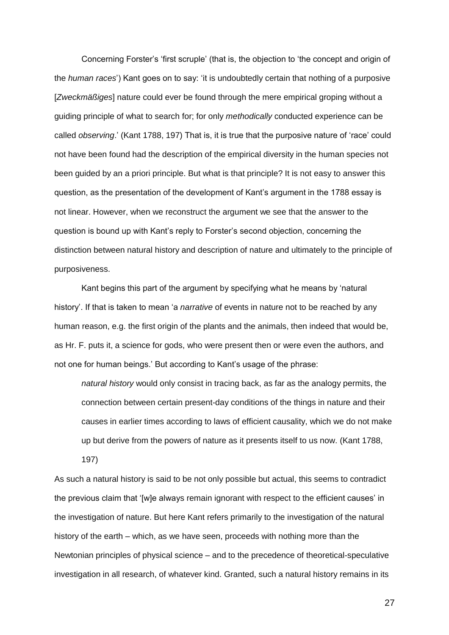Concerning Forster's 'first scruple' (that is, the objection to 'the concept and origin of the *human races*') Kant goes on to say: 'it is undoubtedly certain that nothing of a purposive [*Zweckmäßiges*] nature could ever be found through the mere empirical groping without a guiding principle of what to search for; for only *methodically* conducted experience can be called *observing*.' (Kant 1788, 197) That is, it is true that the purposive nature of 'race' could not have been found had the description of the empirical diversity in the human species not been guided by an a priori principle. But what is that principle? It is not easy to answer this question, as the presentation of the development of Kant's argument in the 1788 essay is not linear. However, when we reconstruct the argument we see that the answer to the question is bound up with Kant's reply to Forster's second objection, concerning the distinction between natural history and description of nature and ultimately to the principle of purposiveness.

Kant begins this part of the argument by specifying what he means by 'natural history'. If that is taken to mean 'a *narrative* of events in nature not to be reached by any human reason, e.g. the first origin of the plants and the animals, then indeed that would be, as Hr. F. puts it, a science for gods, who were present then or were even the authors, and not one for human beings.' But according to Kant's usage of the phrase:

*natural history* would only consist in tracing back, as far as the analogy permits, the connection between certain present-day conditions of the things in nature and their causes in earlier times according to laws of efficient causality, which we do not make up but derive from the powers of nature as it presents itself to us now. (Kant 1788, 197)

As such a natural history is said to be not only possible but actual, this seems to contradict the previous claim that '[w]e always remain ignorant with respect to the efficient causes' in the investigation of nature. But here Kant refers primarily to the investigation of the natural history of the earth – which, as we have seen, proceeds with nothing more than the Newtonian principles of physical science – and to the precedence of theoretical-speculative investigation in all research, of whatever kind. Granted, such a natural history remains in its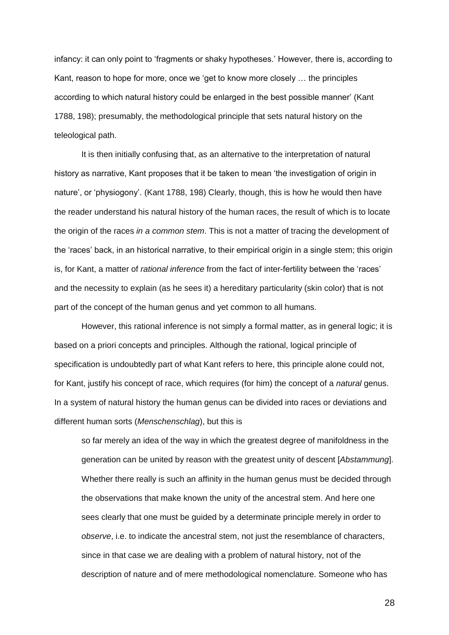infancy: it can only point to 'fragments or shaky hypotheses.' However, there is, according to Kant, reason to hope for more, once we 'get to know more closely … the principles according to which natural history could be enlarged in the best possible manner' (Kant 1788, 198); presumably, the methodological principle that sets natural history on the teleological path.

It is then initially confusing that, as an alternative to the interpretation of natural history as narrative, Kant proposes that it be taken to mean 'the investigation of origin in nature', or 'physiogony'. (Kant 1788, 198) Clearly, though, this is how he would then have the reader understand his natural history of the human races, the result of which is to locate the origin of the races *in a common stem*. This is not a matter of tracing the development of the 'races' back, in an historical narrative, to their empirical origin in a single stem; this origin is, for Kant, a matter of *rational inference* from the fact of inter-fertility between the 'races' and the necessity to explain (as he sees it) a hereditary particularity (skin color) that is not part of the concept of the human genus and yet common to all humans.

However, this rational inference is not simply a formal matter, as in general logic; it is based on a priori concepts and principles. Although the rational, logical principle of specification is undoubtedly part of what Kant refers to here, this principle alone could not, for Kant, justify his concept of race, which requires (for him) the concept of a *natural* genus. In a system of natural history the human genus can be divided into races or deviations and different human sorts (*Menschenschlag*), but this is

so far merely an idea of the way in which the greatest degree of manifoldness in the generation can be united by reason with the greatest unity of descent [*Abstammung*]. Whether there really is such an affinity in the human genus must be decided through the observations that make known the unity of the ancestral stem. And here one sees clearly that one must be guided by a determinate principle merely in order to *observe*, i.e. to indicate the ancestral stem, not just the resemblance of characters, since in that case we are dealing with a problem of natural history, not of the description of nature and of mere methodological nomenclature. Someone who has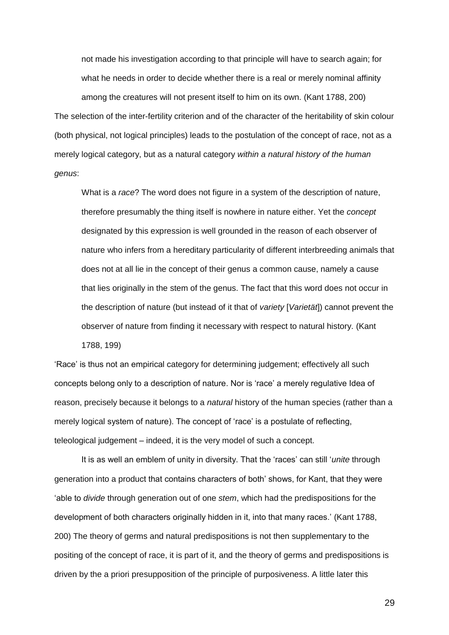not made his investigation according to that principle will have to search again; for what he needs in order to decide whether there is a real or merely nominal affinity among the creatures will not present itself to him on its own. (Kant 1788, 200) The selection of the inter-fertility criterion and of the character of the heritability of skin colour (both physical, not logical principles) leads to the postulation of the concept of race, not as a merely logical category, but as a natural category *within a natural history of the human genus*:

What is a *race*? The word does not figure in a system of the description of nature, therefore presumably the thing itself is nowhere in nature either. Yet the *concept* designated by this expression is well grounded in the reason of each observer of nature who infers from a hereditary particularity of different interbreeding animals that does not at all lie in the concept of their genus a common cause, namely a cause that lies originally in the stem of the genus. The fact that this word does not occur in the description of nature (but instead of it that of *variety* [*Varietät*]) cannot prevent the observer of nature from finding it necessary with respect to natural history. (Kant 1788, 199)

'Race' is thus not an empirical category for determining judgement; effectively all such concepts belong only to a description of nature. Nor is 'race' a merely regulative Idea of reason, precisely because it belongs to a *natural* history of the human species (rather than a merely logical system of nature). The concept of 'race' is a postulate of reflecting, teleological judgement – indeed, it is the very model of such a concept.

It is as well an emblem of unity in diversity. That the 'races' can still '*unite* through generation into a product that contains characters of both' shows, for Kant, that they were 'able to *divide* through generation out of one *stem*, which had the predispositions for the development of both characters originally hidden in it, into that many races.' (Kant 1788, 200) The theory of germs and natural predispositions is not then supplementary to the positing of the concept of race, it is part of it, and the theory of germs and predispositions is driven by the a priori presupposition of the principle of purposiveness. A little later this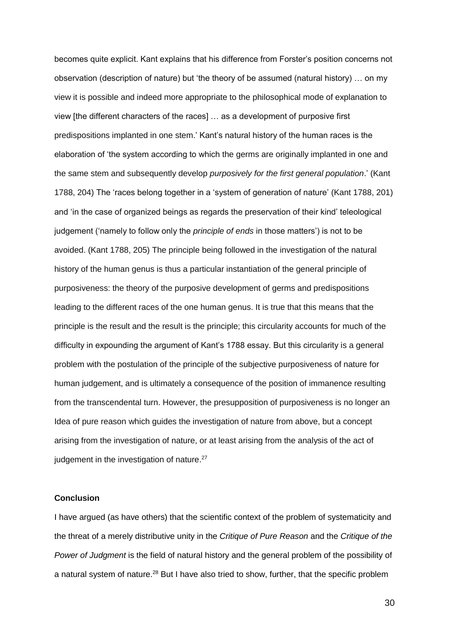becomes quite explicit. Kant explains that his difference from Forster's position concerns not observation (description of nature) but 'the theory of be assumed (natural history) … on my view it is possible and indeed more appropriate to the philosophical mode of explanation to view [the different characters of the races] … as a development of purposive first predispositions implanted in one stem.' Kant's natural history of the human races is the elaboration of 'the system according to which the germs are originally implanted in one and the same stem and subsequently develop *purposively for the first general population*.' (Kant 1788, 204) The 'races belong together in a 'system of generation of nature' (Kant 1788, 201) and 'in the case of organized beings as regards the preservation of their kind' teleological judgement ('namely to follow only the *principle of ends* in those matters') is not to be avoided. (Kant 1788, 205) The principle being followed in the investigation of the natural history of the human genus is thus a particular instantiation of the general principle of purposiveness: the theory of the purposive development of germs and predispositions leading to the different races of the one human genus. It is true that this means that the principle is the result and the result is the principle; this circularity accounts for much of the difficulty in expounding the argument of Kant's 1788 essay. But this circularity is a general problem with the postulation of the principle of the subjective purposiveness of nature for human judgement, and is ultimately a consequence of the position of immanence resulting from the transcendental turn. However, the presupposition of purposiveness is no longer an Idea of pure reason which guides the investigation of nature from above, but a concept arising from the investigation of nature, or at least arising from the analysis of the act of judgement in the investigation of nature.<sup>27</sup>

## **Conclusion**

I have argued (as have others) that the scientific context of the problem of systematicity and the threat of a merely distributive unity in the *Critique of Pure Reason* and the *Critique of the Power of Judgment* is the field of natural history and the general problem of the possibility of a natural system of nature.<sup>28</sup> But I have also tried to show, further, that the specific problem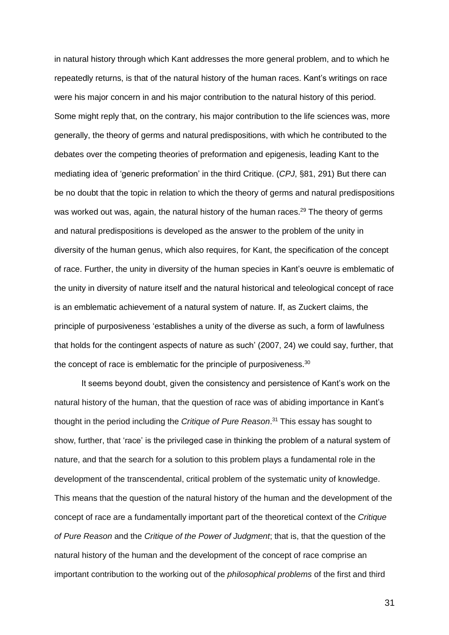in natural history through which Kant addresses the more general problem, and to which he repeatedly returns, is that of the natural history of the human races. Kant's writings on race were his major concern in and his major contribution to the natural history of this period. Some might reply that, on the contrary, his major contribution to the life sciences was, more generally, the theory of germs and natural predispositions, with which he contributed to the debates over the competing theories of preformation and epigenesis, leading Kant to the mediating idea of 'generic preformation' in the third Critique. (*CPJ*, §81, 291) But there can be no doubt that the topic in relation to which the theory of germs and natural predispositions was worked out was, again, the natural history of the human races.<sup>29</sup> The theory of germs and natural predispositions is developed as the answer to the problem of the unity in diversity of the human genus, which also requires, for Kant, the specification of the concept of race. Further, the unity in diversity of the human species in Kant's oeuvre is emblematic of the unity in diversity of nature itself and the natural historical and teleological concept of race is an emblematic achievement of a natural system of nature. If, as Zuckert claims, the principle of purposiveness 'establishes a unity of the diverse as such, a form of lawfulness that holds for the contingent aspects of nature as such' (2007, 24) we could say, further, that the concept of race is emblematic for the principle of purposiveness.<sup>30</sup>

It seems beyond doubt, given the consistency and persistence of Kant's work on the natural history of the human, that the question of race was of abiding importance in Kant's thought in the period including the *Critique of Pure Reason*. <sup>31</sup> This essay has sought to show, further, that 'race' is the privileged case in thinking the problem of a natural system of nature, and that the search for a solution to this problem plays a fundamental role in the development of the transcendental, critical problem of the systematic unity of knowledge. This means that the question of the natural history of the human and the development of the concept of race are a fundamentally important part of the theoretical context of the *Critique of Pure Reason* and the *Critique of the Power of Judgment*; that is, that the question of the natural history of the human and the development of the concept of race comprise an important contribution to the working out of the *philosophical problems* of the first and third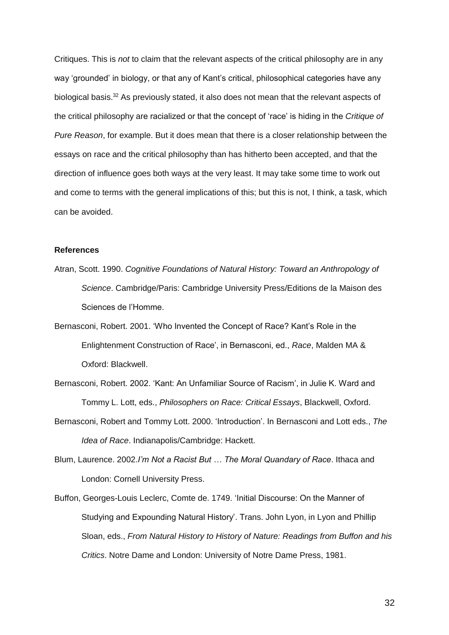Critiques. This is *not* to claim that the relevant aspects of the critical philosophy are in any way 'grounded' in biology, or that any of Kant's critical, philosophical categories have any biological basis.<sup>32</sup> As previously stated, it also does not mean that the relevant aspects of the critical philosophy are racialized or that the concept of 'race' is hiding in the *Critique of Pure Reason*, for example. But it does mean that there is a closer relationship between the essays on race and the critical philosophy than has hitherto been accepted, and that the direction of influence goes both ways at the very least. It may take some time to work out and come to terms with the general implications of this; but this is not, I think, a task, which can be avoided.

#### **References**

Atran, Scott. 1990. *Cognitive Foundations of Natural History: Toward an Anthropology of Science*. Cambridge/Paris: Cambridge University Press/Editions de la Maison des Sciences de l'Homme.

Bernasconi, Robert. 2001. 'Who Invented the Concept of Race? Kant's Role in the Enlightenment Construction of Race', in Bernasconi, ed., *Race*, Malden MA & Oxford: Blackwell.

Bernasconi, Robert. 2002. 'Kant: An Unfamiliar Source of Racism', in Julie K. Ward and Tommy L. Lott, eds., *Philosophers on Race: Critical Essays*, Blackwell, Oxford.

Bernasconi, Robert and Tommy Lott. 2000. 'Introduction'. In Bernasconi and Lott eds., *The Idea of Race*. Indianapolis/Cambridge: Hackett.

Blum, Laurence. 2002.*I'm Not a Racist But … The Moral Quandary of Race*. Ithaca and London: Cornell University Press.

Buffon, Georges-Louis Leclerc, Comte de. 1749. 'Initial Discourse: On the Manner of Studying and Expounding Natural History'. Trans. John Lyon, in Lyon and Phillip Sloan, eds., *From Natural History to History of Nature: Readings from Buffon and his Critics*. Notre Dame and London: University of Notre Dame Press, 1981.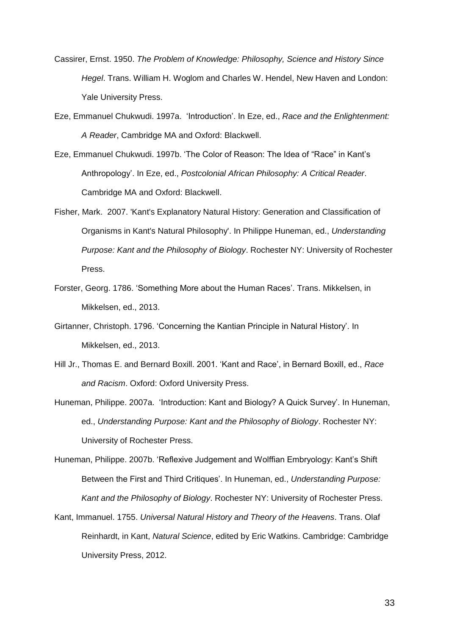- Cassirer, Ernst. 1950. *The Problem of Knowledge: Philosophy, Science and History Since Hegel*. Trans. William H. Woglom and Charles W. Hendel, New Haven and London: Yale University Press.
- Eze, Emmanuel Chukwudi. 1997a. 'Introduction'. In Eze, ed., *Race and the Enlightenment: A Reader*, Cambridge MA and Oxford: Blackwell.
- Eze, Emmanuel Chukwudi. 1997b. 'The Color of Reason: The Idea of "Race" in Kant's Anthropology'. In Eze, ed., *Postcolonial African Philosophy: A Critical Reader*. Cambridge MA and Oxford: Blackwell.
- Fisher, Mark. 2007. 'Kant's Explanatory Natural History: Generation and Classification of Organisms in Kant's Natural Philosophy'. In Philippe Huneman, ed., *Understanding Purpose: Kant and the Philosophy of Biology*. Rochester NY: University of Rochester Press.
- Forster, Georg. 1786. 'Something More about the Human Races'. Trans. Mikkelsen, in Mikkelsen, ed., 2013.
- Girtanner, Christoph. 1796. 'Concerning the Kantian Principle in Natural History'. In Mikkelsen, ed., 2013.
- Hill Jr., Thomas E. and Bernard Boxill. 2001. 'Kant and Race', in Bernard Boxill, ed., *Race and Racism*. Oxford: Oxford University Press.
- Huneman, Philippe. 2007a. 'Introduction: Kant and Biology? A Quick Survey'. In Huneman, ed., *Understanding Purpose: Kant and the Philosophy of Biology*. Rochester NY: University of Rochester Press.
- Huneman, Philippe. 2007b. 'Reflexive Judgement and Wolffian Embryology: Kant's Shift Between the First and Third Critiques'. In Huneman, ed., *Understanding Purpose: Kant and the Philosophy of Biology*. Rochester NY: University of Rochester Press.
- Kant, Immanuel. 1755. *Universal Natural History and Theory of the Heavens*. Trans. Olaf Reinhardt, in Kant, *Natural Science*, edited by Eric Watkins. Cambridge: Cambridge University Press, 2012.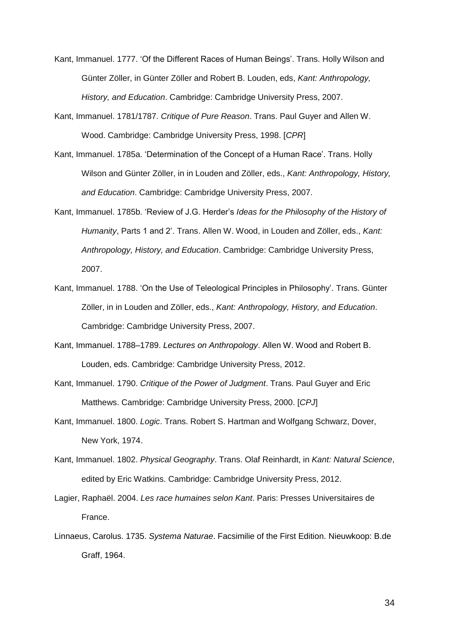Kant, Immanuel. 1777. 'Of the Different Races of Human Beings'. Trans. Holly Wilson and Günter Zöller, in Günter Zöller and Robert B. Louden, eds, *Kant: Anthropology, History, and Education*. Cambridge: Cambridge University Press, 2007.

- Kant, Immanuel. 1781/1787. *Critique of Pure Reason*. Trans. Paul Guyer and Allen W. Wood. Cambridge: Cambridge University Press, 1998. [*CPR*]
- Kant, Immanuel. 1785a. 'Determination of the Concept of a Human Race'. Trans. Holly Wilson and Günter Zöller, in in Louden and Zöller, eds., *Kant: Anthropology, History, and Education*. Cambridge: Cambridge University Press, 2007.
- Kant, Immanuel. 1785b. 'Review of J.G. Herder's *Ideas for the Philosophy of the History of Humanity*, Parts 1 and 2'. Trans. Allen W. Wood, in Louden and Zöller, eds., *Kant: Anthropology, History, and Education*. Cambridge: Cambridge University Press, 2007.
- Kant, Immanuel. 1788. 'On the Use of Teleological Principles in Philosophy'. Trans. Günter Zöller, in in Louden and Zöller, eds., *Kant: Anthropology, History, and Education*. Cambridge: Cambridge University Press, 2007.
- Kant, Immanuel. 1788–1789. *Lectures on Anthropology*. Allen W. Wood and Robert B. Louden, eds. Cambridge: Cambridge University Press, 2012.
- Kant, Immanuel. 1790. *Critique of the Power of Judgment*. Trans. Paul Guyer and Eric Matthews. Cambridge: Cambridge University Press, 2000. [*CPJ*]
- Kant, Immanuel. 1800. *Logic*. Trans. Robert S. Hartman and Wolfgang Schwarz, Dover, New York, 1974.
- Kant, Immanuel. 1802. *Physical Geography*. Trans. Olaf Reinhardt, in *Kant: Natural Science*, edited by Eric Watkins. Cambridge: Cambridge University Press, 2012.
- Lagier, Raphaël. 2004. *Les race humaines selon Kant*. Paris: Presses Universitaires de France.
- Linnaeus, Carolus. 1735. *Systema Naturae*. Facsimilie of the First Edition. Nieuwkoop: B.de Graff, 1964.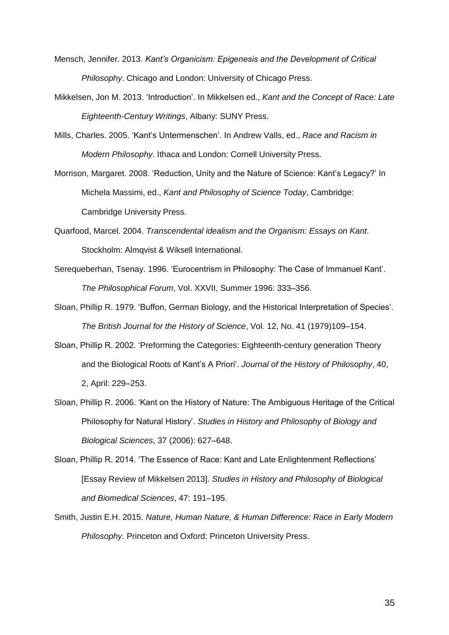- Mensch, Jennifer. 2013. *Kant's Organicism: Epigenesis and the Development of Critical Philosophy*. Chicago and London: University of Chicago Press.
- Mikkelsen, Jon M. 2013. 'Introduction'. In Mikkelsen ed., *Kant and the Concept of Race: Late Eighteenth-Century Writings*, Albany: SUNY Press.
- Mills, Charles. 2005. 'Kant's Untermenschen'. In Andrew Valls, ed., *Race and Racism in Modern Philosophy*. Ithaca and London: Cornell University Press.
- Morrison, Margaret. 2008. 'Reduction, Unity and the Nature of Science: Kant's Legacy?' In Michela Massimi, ed., *Kant and Philosophy of Science Today*, Cambridge: Cambridge University Press.
- Quarfood, Marcel. 2004. *Transcendental idealism and the Organism: Essays on Kant*. Stockholm: Almqvist & Wiksell International.
- Serequeberhan, Tsenay. 1996. 'Eurocentrism in Philosophy: The Case of Immanuel Kant'. *The Philosophical Forum*, Vol. XXVII, Summer 1996: 333–356.
- Sloan, Phillip R. 1979. 'Buffon, German Biology, and the Historical Interpretation of Species'. *The British Journal for the History of Science*, Vol. 12, No. 41 (1979)109–154.
- Sloan, Phillip R. 2002. 'Preforming the Categories: Eighteenth-century generation Theory and the Biological Roots of Kant's A Priori'. *Journal of the History of Philosophy*, 40, 2, April: 229–253.
- Sloan, Phillip R. 2006. 'Kant on the History of Nature: The Ambiguous Heritage of the Critical Philosophy for Natural History'. *Studies in History and Philosophy of Biology and Biological Sciences*, 37 (2006): 627–648.
- Sloan, Phillip R. 2014. 'The Essence of Race: Kant and Late Enlightenment Reflections' [Essay Review of Mikkelsen 2013]. *Studies in History and Philosophy of Biological and Biomedical Sciences*, 47: 191–195.
- Smith, Justin E.H. 2015. *Nature, Human Nature, & Human Difference: Race in Early Modern Philosophy*. Princeton and Oxford: Princeton University Press.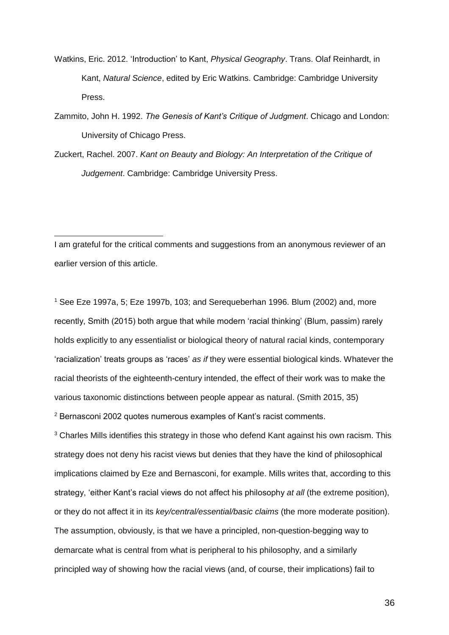- Watkins, Eric. 2012. 'Introduction' to Kant, *Physical Geography*. Trans. Olaf Reinhardt, in Kant, *Natural Science*, edited by Eric Watkins. Cambridge: Cambridge University Press.
- Zammito, John H. 1992. *The Genesis of Kant's Critique of Judgment*. Chicago and London: University of Chicago Press.
- Zuckert, Rachel. 2007. *Kant on Beauty and Biology: An Interpretation of the Critique of Judgement*. Cambridge: Cambridge University Press.

I am grateful for the critical comments and suggestions from an anonymous reviewer of an earlier version of this article.

 $\overline{a}$ 

<sup>1</sup> See Eze 1997a, 5; Eze 1997b, 103; and Serequeberhan 1996. Blum (2002) and, more recently, Smith (2015) both argue that while modern 'racial thinking' (Blum, passim) rarely holds explicitly to any essentialist or biological theory of natural racial kinds, contemporary 'racialization' treats groups as 'races' *as if* they were essential biological kinds. Whatever the racial theorists of the eighteenth-century intended, the effect of their work was to make the various taxonomic distinctions between people appear as natural. (Smith 2015, 35)

<sup>2</sup> Bernasconi 2002 quotes numerous examples of Kant's racist comments.

<sup>3</sup> Charles Mills identifies this strategy in those who defend Kant against his own racism. This strategy does not deny his racist views but denies that they have the kind of philosophical implications claimed by Eze and Bernasconi, for example. Mills writes that, according to this strategy, 'either Kant's racial views do not affect his philosophy *at all* (the extreme position), or they do not affect it in its *key/central/essential/basic claims* (the more moderate position). The assumption, obviously, is that we have a principled, non-question-begging way to demarcate what is central from what is peripheral to his philosophy, and a similarly principled way of showing how the racial views (and, of course, their implications) fail to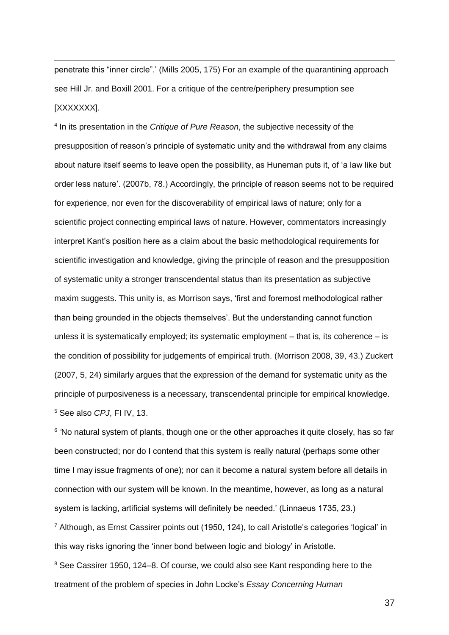penetrate this "inner circle".' (Mills 2005, 175) For an example of the quarantining approach see Hill Jr. and Boxill 2001. For a critique of the centre/periphery presumption see [XXXXXXX].

l

4 In its presentation in the *Critique of Pure Reason*, the subjective necessity of the presupposition of reason's principle of systematic unity and the withdrawal from any claims about nature itself seems to leave open the possibility, as Huneman puts it, of 'a law like but order less nature'. (2007b, 78.) Accordingly, the principle of reason seems not to be required for experience, nor even for the discoverability of empirical laws of nature; only for a scientific project connecting empirical laws of nature. However, commentators increasingly interpret Kant's position here as a claim about the basic methodological requirements for scientific investigation and knowledge, giving the principle of reason and the presupposition of systematic unity a stronger transcendental status than its presentation as subjective maxim suggests. This unity is, as Morrison says, 'first and foremost methodological rather than being grounded in the objects themselves'. But the understanding cannot function unless it is systematically employed; its systematic employment – that is, its coherence – is the condition of possibility for judgements of empirical truth. (Morrison 2008, 39, 43.) Zuckert (2007, 5, 24) similarly argues that the expression of the demand for systematic unity as the principle of purposiveness is a necessary, transcendental principle for empirical knowledge. <sup>5</sup> See also *CPJ*, FI IV, 13.

<sup>6</sup> No natural system of plants, though one or the other approaches it quite closely, has so far been constructed; nor do I contend that this system is really natural (perhaps some other time I may issue fragments of one); nor can it become a natural system before all details in connection with our system will be known. In the meantime, however, as long as a natural system is lacking, artificial systems will definitely be needed.' (Linnaeus 1735, 23.)

 $^7$  Although, as Ernst Cassirer points out (1950, 124), to call Aristotle's categories 'logical' in this way risks ignoring the 'inner bond between logic and biology' in Aristotle.

<sup>8</sup> See Cassirer 1950, 124–8. Of course, we could also see Kant responding here to the treatment of the problem of species in John Locke's *Essay Concerning Human*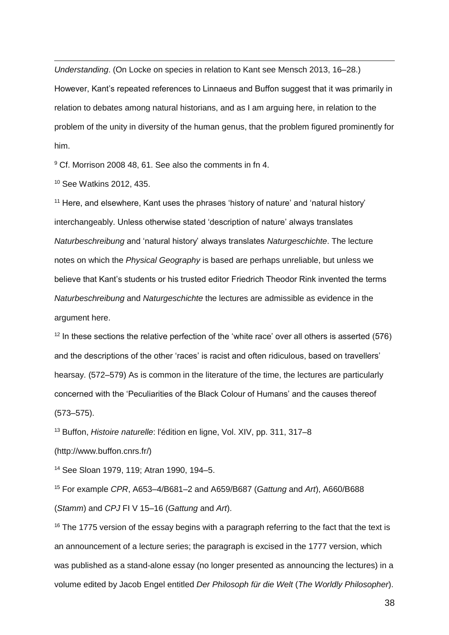l *Understanding*. (On Locke on species in relation to Kant see Mensch 2013, 16–28.) However, Kant's repeated references to Linnaeus and Buffon suggest that it was primarily in relation to debates among natural historians, and as I am arguing here, in relation to the problem of the unity in diversity of the human genus, that the problem figured prominently for him.

<sup>9</sup> Cf. Morrison 2008 48, 61. See also the comments in fn 4.

<sup>10</sup> See Watkins 2012, 435.

 $11$  Here, and elsewhere, Kant uses the phrases 'history of nature' and 'natural history' interchangeably. Unless otherwise stated 'description of nature' always translates *Naturbeschreibung* and 'natural history' always translates *Naturgeschichte*. The lecture notes on which the *Physical Geography* is based are perhaps unreliable, but unless we believe that Kant's students or his trusted editor Friedrich Theodor Rink invented the terms *Naturbeschreibung* and *Naturgeschichte* the lectures are admissible as evidence in the argument here.

 $12$  In these sections the relative perfection of the 'white race' over all others is asserted (576) and the descriptions of the other 'races' is racist and often ridiculous, based on travellers' hearsay. (572–579) As is common in the literature of the time, the lectures are particularly concerned with the 'Peculiarities of the Black Colour of Humans' and the causes thereof (573–575).

<sup>13</sup> Buffon, *Histoire naturelle*: l'édition en ligne, Vol. XIV, pp. 311, 317–8

(http://www.buffon.cnrs.fr/)

<sup>14</sup> See Sloan 1979, 119; Atran 1990, 194–5.

<sup>15</sup> For example *CPR*, A653–4/B681–2 and A659/B687 (*Gattung* and *Art*), A660/B688 (*Stamm*) and *CPJ* FI V 15–16 (*Gattung* and *Art*).

 $16$  The 1775 version of the essay begins with a paragraph referring to the fact that the text is an announcement of a lecture series; the paragraph is excised in the 1777 version, which was published as a stand-alone essay (no longer presented as announcing the lectures) in a volume edited by Jacob Engel entitled *Der Philosoph für die Welt* (*The Worldly Philosopher*).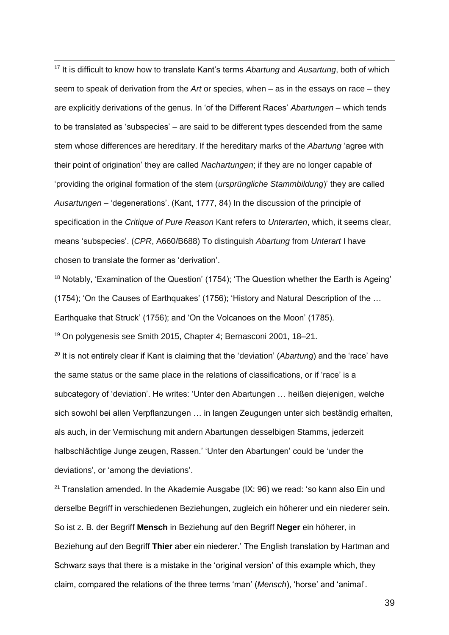l <sup>17</sup> It is difficult to know how to translate Kant's terms *Abartung* and *Ausartung*, both of which seem to speak of derivation from the *Art* or species, when – as in the essays on race – they are explicitly derivations of the genus. In 'of the Different Races' *Abartungen* – which tends to be translated as 'subspecies' – are said to be different types descended from the same stem whose differences are hereditary. If the hereditary marks of the *Abartung* 'agree with their point of origination' they are called *Nachartungen*; if they are no longer capable of 'providing the original formation of the stem (*ursprüngliche Stammbildung*)' they are called *Ausartungen* – 'degenerations'. (Kant, 1777, 84) In the discussion of the principle of specification in the *Critique of Pure Reason* Kant refers to *Unterarten*, which, it seems clear, means 'subspecies'. (*CPR*, A660/B688) To distinguish *Abartung* from *Unterart* I have chosen to translate the former as 'derivation'.

<sup>18</sup> Notably, 'Examination of the Question' (1754); 'The Question whether the Earth is Ageing' (1754); 'On the Causes of Earthquakes' (1756); 'History and Natural Description of the … Earthquake that Struck' (1756); and 'On the Volcanoes on the Moon' (1785).

<sup>19</sup> On polygenesis see Smith 2015, Chapter 4; Bernasconi 2001, 18–21.

<sup>20</sup> It is not entirely clear if Kant is claiming that the 'deviation' (*Abartung*) and the 'race' have the same status or the same place in the relations of classifications, or if 'race' is a subcategory of 'deviation'. He writes: 'Unter den Abartungen … heißen diejenigen, welche sich sowohl bei allen Verpflanzungen … in langen Zeugungen unter sich beständig erhalten, als auch, in der Vermischung mit andern Abartungen desselbigen Stamms, jederzeit halbschlächtige Junge zeugen, Rassen.' 'Unter den Abartungen' could be 'under the deviations', or 'among the deviations'.

<sup>21</sup> Translation amended. In the Akademie Ausgabe (IX: 96) we read: 'so kann also Ein und derselbe Begriff in verschiedenen Beziehungen, zugleich ein höherer und ein niederer sein. So ist z. B. der Begriff **Mensch** in Beziehung auf den Begriff **Neger** ein höherer, in Beziehung auf den Begriff **Thier** aber ein niederer.' The English translation by Hartman and Schwarz says that there is a mistake in the 'original version' of this example which, they claim, compared the relations of the three terms 'man' (*Mensch*), 'horse' and 'animal'.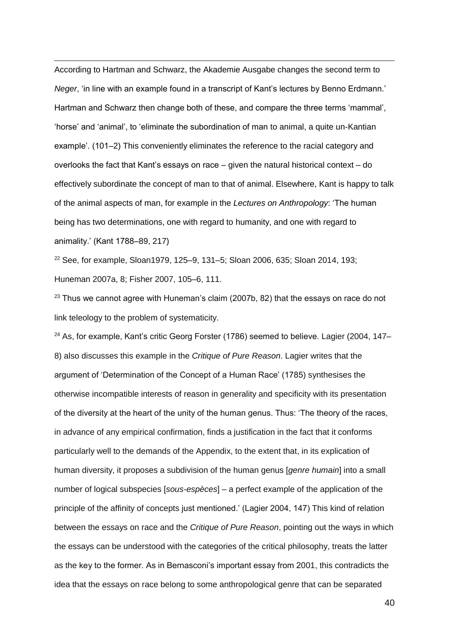l According to Hartman and Schwarz, the Akademie Ausgabe changes the second term to *Neger*, 'in line with an example found in a transcript of Kant's lectures by Benno Erdmann.' Hartman and Schwarz then change both of these, and compare the three terms 'mammal', 'horse' and 'animal', to 'eliminate the subordination of man to animal, a quite un-Kantian example'. (101–2) This conveniently eliminates the reference to the racial category and overlooks the fact that Kant's essays on race – given the natural historical context – do effectively subordinate the concept of man to that of animal. Elsewhere, Kant is happy to talk of the animal aspects of man, for example in the *Lectures on Anthropology*: 'The human being has two determinations, one with regard to humanity, and one with regard to animality.' (Kant 1788–89, 217)

<sup>22</sup> See, for example, Sloan1979, 125–9, 131–5; Sloan 2006, 635; Sloan 2014, 193; Huneman 2007a, 8; Fisher 2007, 105–6, 111.

 $23$  Thus we cannot agree with Huneman's claim (2007b, 82) that the essays on race do not link teleology to the problem of systematicity.

 $24$  As, for example, Kant's critic Georg Forster (1786) seemed to believe. Lagier (2004, 147– 8) also discusses this example in the *Critique of Pure Reason*. Lagier writes that the argument of 'Determination of the Concept of a Human Race' (1785) synthesises the otherwise incompatible interests of reason in generality and specificity with its presentation of the diversity at the heart of the unity of the human genus. Thus: 'The theory of the races, in advance of any empirical confirmation, finds a justification in the fact that it conforms particularly well to the demands of the Appendix, to the extent that, in its explication of human diversity, it proposes a subdivision of the human genus [*genre humain*] into a small number of logical subspecies [*sous-espèces*] – a perfect example of the application of the principle of the affinity of concepts just mentioned.' (Lagier 2004, 147) This kind of relation between the essays on race and the *Critique of Pure Reason*, pointing out the ways in which the essays can be understood with the categories of the critical philosophy, treats the latter as the key to the former. As in Bernasconi's important essay from 2001, this contradicts the idea that the essays on race belong to some anthropological genre that can be separated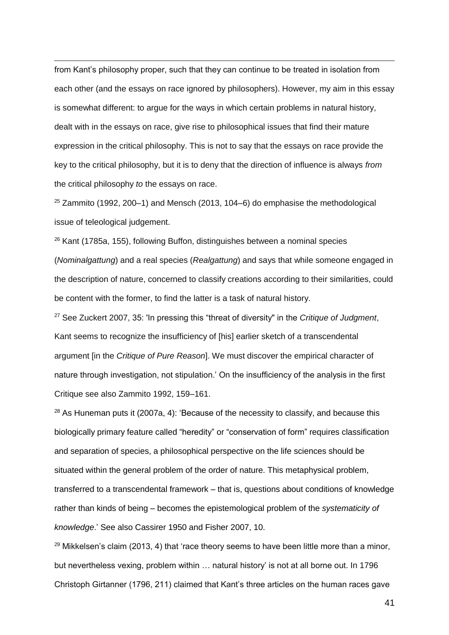l from Kant's philosophy proper, such that they can continue to be treated in isolation from each other (and the essays on race ignored by philosophers). However, my aim in this essay is somewhat different: to argue for the ways in which certain problems in natural history, dealt with in the essays on race, give rise to philosophical issues that find their mature expression in the critical philosophy. This is not to say that the essays on race provide the key to the critical philosophy, but it is to deny that the direction of influence is always *from* the critical philosophy *to* the essays on race.

 $25$  Zammito (1992, 200–1) and Mensch (2013, 104–6) do emphasise the methodological issue of teleological judgement.

<sup>26</sup> Kant (1785a, 155), following Buffon, distinguishes between a nominal species (*Nominalgattung*) and a real species (*Realgattung*) and says that while someone engaged in the description of nature, concerned to classify creations according to their similarities, could be content with the former, to find the latter is a task of natural history.

<sup>27</sup> See Zuckert 2007, 35: 'In pressing this "threat of diversity" in the *Critique of Judgment*, Kant seems to recognize the insufficiency of [his] earlier sketch of a transcendental argument [in the *Critique of Pure Reason*]. We must discover the empirical character of nature through investigation, not stipulation.' On the insufficiency of the analysis in the first Critique see also Zammito 1992, 159–161.

<sup>28</sup> As Huneman puts it (2007a, 4): 'Because of the necessity to classify, and because this biologically primary feature called "heredity" or "conservation of form" requires classification and separation of species, a philosophical perspective on the life sciences should be situated within the general problem of the order of nature. This metaphysical problem, transferred to a transcendental framework – that is, questions about conditions of knowledge rather than kinds of being – becomes the epistemological problem of the *systematicity of knowledge*.' See also Cassirer 1950 and Fisher 2007, 10.

 $29$  Mikkelsen's claim (2013, 4) that 'race theory seems to have been little more than a minor, but nevertheless vexing, problem within … natural history' is not at all borne out. In 1796 Christoph Girtanner (1796, 211) claimed that Kant's three articles on the human races gave